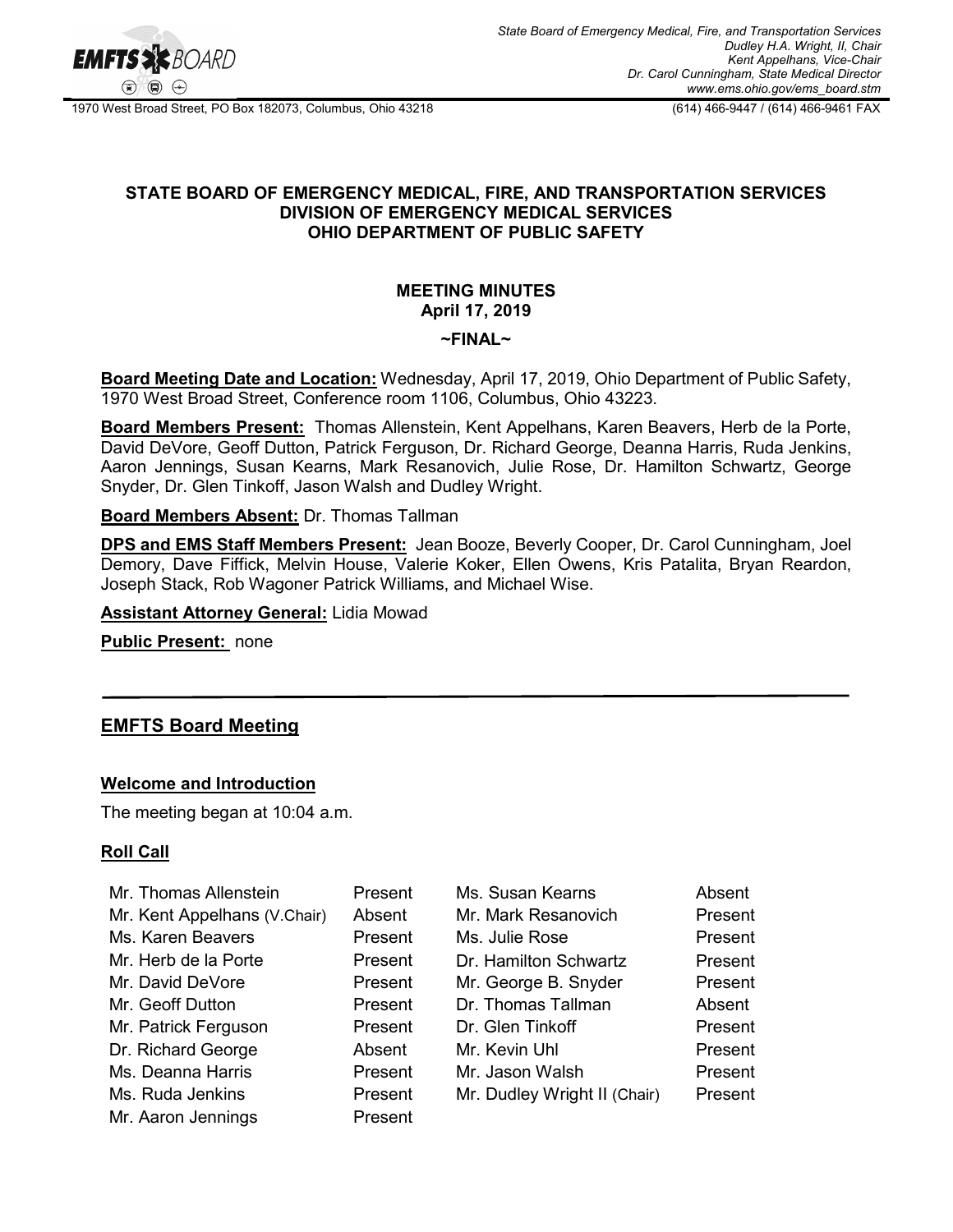

1970 West Broad Street, PO Box 182073, Columbus, Ohio 43218 (614) 466-9447 / (614) 466-9461 FAX

### **STATE BOARD OF EMERGENCY MEDICAL, FIRE, AND TRANSPORTATION SERVICES DIVISION OF EMERGENCY MEDICAL SERVICES OHIO DEPARTMENT OF PUBLIC SAFETY**

## **MEETING MINUTES April 17, 2019**

#### **~FINAL~**

**Board Meeting Date and Location:** Wednesday, April 17, 2019, Ohio Department of Public Safety, 1970 West Broad Street, Conference room 1106, Columbus, Ohio 43223.

**Board Members Present:** Thomas Allenstein, Kent Appelhans, Karen Beavers, Herb de la Porte, David DeVore, Geoff Dutton, Patrick Ferguson, Dr. Richard George, Deanna Harris, Ruda Jenkins, Aaron Jennings, Susan Kearns, Mark Resanovich, Julie Rose, Dr. Hamilton Schwartz, George Snyder, Dr. Glen Tinkoff, Jason Walsh and Dudley Wright.

#### **Board Members Absent:** Dr. Thomas Tallman

**DPS and EMS Staff Members Present:** Jean Booze, Beverly Cooper, Dr. Carol Cunningham, Joel Demory, Dave Fiffick, Melvin House, Valerie Koker, Ellen Owens, Kris Patalita, Bryan Reardon, Joseph Stack, Rob Wagoner Patrick Williams, and Michael Wise.

**Assistant Attorney General:** Lidia Mowad

**Public Present:** none

# **EMFTS Board Meeting**

#### **Welcome and Introduction**

The meeting began at 10:04 a.m.

#### **Roll Call**

| Mr. Thomas Allenstein        | Present | Ms. Susan Kearns             | Absent  |
|------------------------------|---------|------------------------------|---------|
| Mr. Kent Appelhans (V.Chair) | Absent  | Mr. Mark Resanovich          | Present |
| Ms. Karen Beavers            | Present | Ms. Julie Rose               | Present |
| Mr. Herb de la Porte         | Present | Dr. Hamilton Schwartz        | Present |
| Mr. David DeVore             | Present | Mr. George B. Snyder         | Present |
| Mr. Geoff Dutton             | Present | Dr. Thomas Tallman           | Absent  |
| Mr. Patrick Ferguson         | Present | Dr. Glen Tinkoff             | Present |
| Dr. Richard George           | Absent  | Mr. Kevin Uhl                | Present |
| Ms. Deanna Harris            | Present | Mr. Jason Walsh              | Present |
| Ms. Ruda Jenkins             | Present | Mr. Dudley Wright II (Chair) | Present |
| Mr. Aaron Jennings           | Present |                              |         |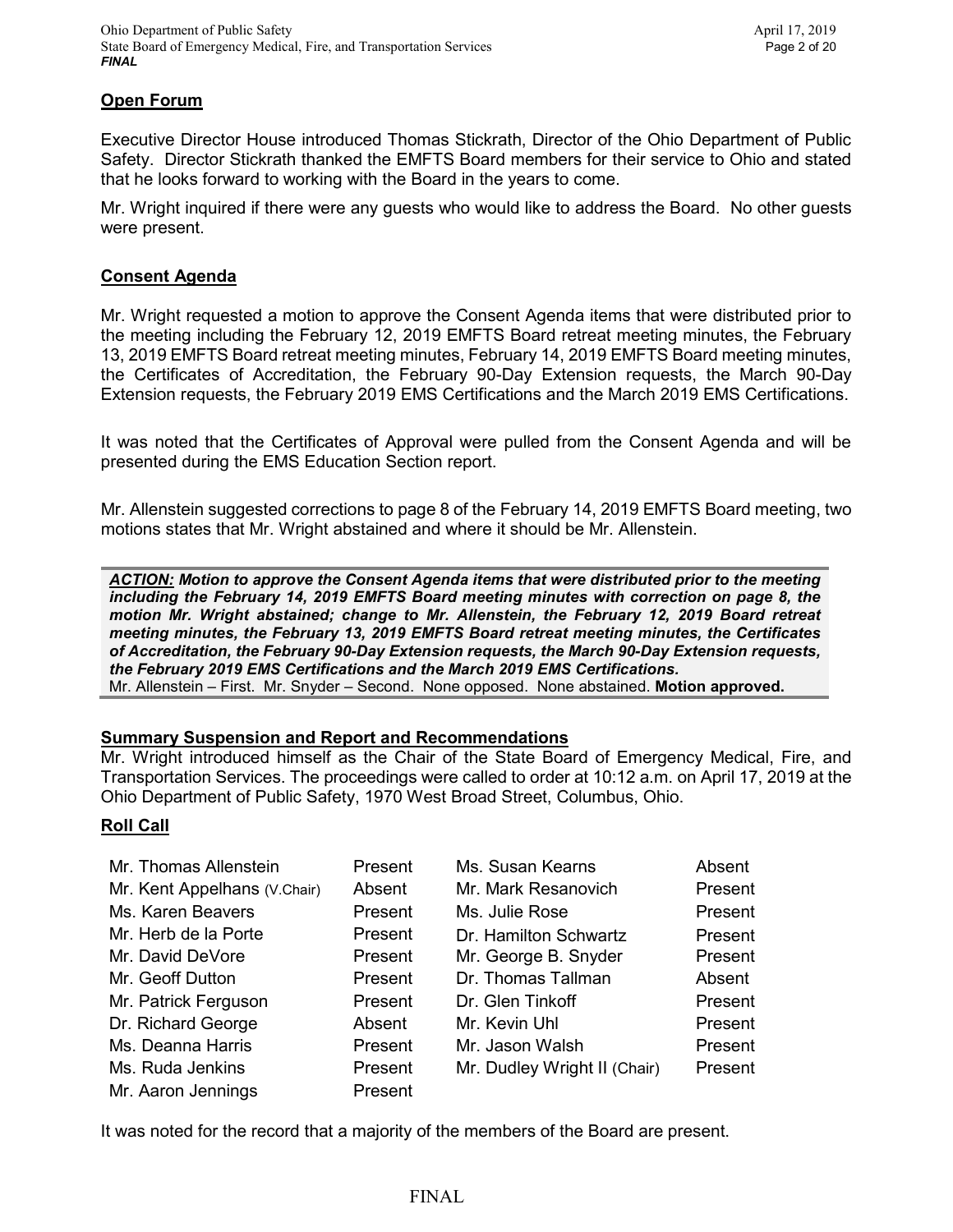### **Open Forum**

Executive Director House introduced Thomas Stickrath, Director of the Ohio Department of Public Safety. Director Stickrath thanked the EMFTS Board members for their service to Ohio and stated that he looks forward to working with the Board in the years to come.

Mr. Wright inquired if there were any guests who would like to address the Board. No other guests were present.

#### **Consent Agenda**

Mr. Wright requested a motion to approve the Consent Agenda items that were distributed prior to the meeting including the February 12, 2019 EMFTS Board retreat meeting minutes, the February 13, 2019 EMFTS Board retreat meeting minutes, February 14, 2019 EMFTS Board meeting minutes, the Certificates of Accreditation, the February 90-Day Extension requests, the March 90-Day Extension requests, the February 2019 EMS Certifications and the March 2019 EMS Certifications.

It was noted that the Certificates of Approval were pulled from the Consent Agenda and will be presented during the EMS Education Section report.

Mr. Allenstein suggested corrections to page 8 of the February 14, 2019 EMFTS Board meeting, two motions states that Mr. Wright abstained and where it should be Mr. Allenstein.

*ACTION: Motion to approve the Consent Agenda items that were distributed prior to the meeting including the February 14, 2019 EMFTS Board meeting minutes with correction on page 8, the motion Mr. Wright abstained; change to Mr. Allenstein, the February 12, 2019 Board retreat meeting minutes, the February 13, 2019 EMFTS Board retreat meeting minutes, the Certificates of Accreditation, the February 90-Day Extension requests, the March 90-Day Extension requests, the February 2019 EMS Certifications and the March 2019 EMS Certifications.* 

Mr. Allenstein – First. Mr. Snyder – Second. None opposed. None abstained. **Motion approved.**

#### **Summary Suspension and Report and Recommendations**

Mr. Wright introduced himself as the Chair of the State Board of Emergency Medical, Fire, and Transportation Services. The proceedings were called to order at 10:12 a.m. on April 17, 2019 at the Ohio Department of Public Safety, 1970 West Broad Street, Columbus, Ohio.

#### **Roll Call**

| Mr. Thomas Allenstein        | Present | Ms. Susan Kearns             | Absent  |
|------------------------------|---------|------------------------------|---------|
| Mr. Kent Appelhans (V.Chair) | Absent  | Mr. Mark Resanovich          | Present |
| Ms. Karen Beavers            | Present | Ms. Julie Rose               | Present |
| Mr. Herb de la Porte         | Present | Dr. Hamilton Schwartz        | Present |
| Mr. David DeVore             | Present | Mr. George B. Snyder         | Present |
| Mr. Geoff Dutton             | Present | Dr. Thomas Tallman           | Absent  |
| Mr. Patrick Ferguson         | Present | Dr. Glen Tinkoff             | Present |
| Dr. Richard George           | Absent  | Mr. Kevin Uhl                | Present |
| Ms. Deanna Harris            | Present | Mr. Jason Walsh              | Present |
| Ms. Ruda Jenkins             | Present | Mr. Dudley Wright II (Chair) | Present |
| Mr. Aaron Jennings           | Present |                              |         |

It was noted for the record that a majority of the members of the Board are present.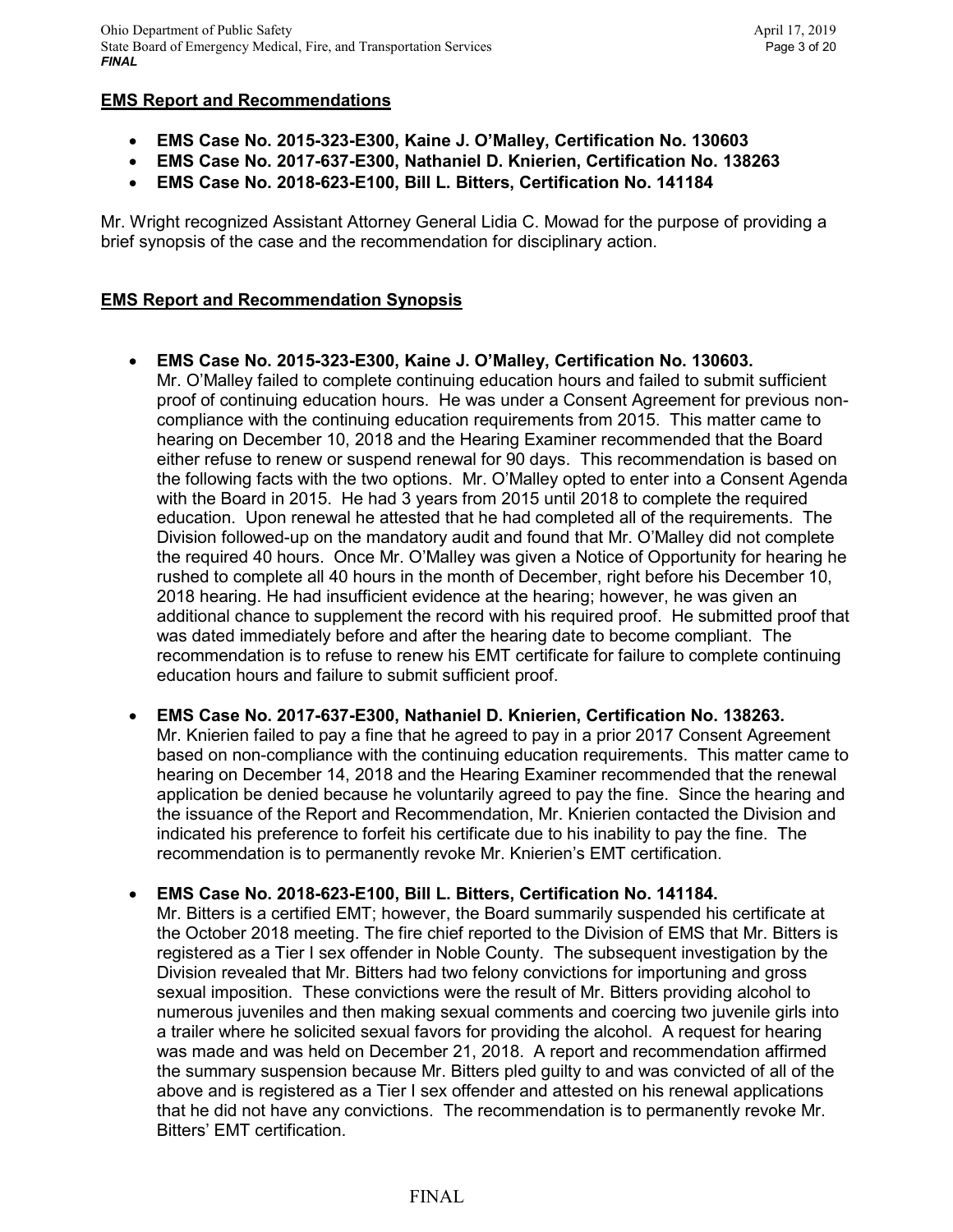## **EMS Report and Recommendations**

- **EMS Case No. 2015-323-E300, Kaine J. O'Malley, Certification No. 130603**
- **EMS Case No. 2017-637-E300, Nathaniel D. Knierien, Certification No. 138263**
- **EMS Case No. 2018-623-E100, Bill L. Bitters, Certification No. 141184**

Mr. Wright recognized Assistant Attorney General Lidia C. Mowad for the purpose of providing a brief synopsis of the case and the recommendation for disciplinary action.

## **EMS Report and Recommendation Synopsis**

- **EMS Case No. 2015-323-E300, Kaine J. O'Malley, Certification No. 130603.** Mr. O'Malley failed to complete continuing education hours and failed to submit sufficient proof of continuing education hours. He was under a Consent Agreement for previous noncompliance with the continuing education requirements from 2015. This matter came to hearing on December 10, 2018 and the Hearing Examiner recommended that the Board either refuse to renew or suspend renewal for 90 days. This recommendation is based on the following facts with the two options. Mr. O'Malley opted to enter into a Consent Agenda with the Board in 2015. He had 3 years from 2015 until 2018 to complete the required education. Upon renewal he attested that he had completed all of the requirements. The Division followed-up on the mandatory audit and found that Mr. O'Malley did not complete the required 40 hours. Once Mr. O'Malley was given a Notice of Opportunity for hearing he rushed to complete all 40 hours in the month of December, right before his December 10, 2018 hearing. He had insufficient evidence at the hearing; however, he was given an additional chance to supplement the record with his required proof. He submitted proof that was dated immediately before and after the hearing date to become compliant. The recommendation is to refuse to renew his EMT certificate for failure to complete continuing education hours and failure to submit sufficient proof.
- **EMS Case No. 2017-637-E300, Nathaniel D. Knierien, Certification No. 138263.** Mr. Knierien failed to pay a fine that he agreed to pay in a prior 2017 Consent Agreement based on non-compliance with the continuing education requirements. This matter came to hearing on December 14, 2018 and the Hearing Examiner recommended that the renewal application be denied because he voluntarily agreed to pay the fine. Since the hearing and the issuance of the Report and Recommendation, Mr. Knierien contacted the Division and indicated his preference to forfeit his certificate due to his inability to pay the fine. The recommendation is to permanently revoke Mr. Knierien's EMT certification.

## • **EMS Case No. 2018-623-E100, Bill L. Bitters, Certification No. 141184.**

Mr. Bitters is a certified EMT; however, the Board summarily suspended his certificate at the October 2018 meeting. The fire chief reported to the Division of EMS that Mr. Bitters is registered as a Tier I sex offender in Noble County. The subsequent investigation by the Division revealed that Mr. Bitters had two felony convictions for importuning and gross sexual imposition. These convictions were the result of Mr. Bitters providing alcohol to numerous juveniles and then making sexual comments and coercing two juvenile girls into a trailer where he solicited sexual favors for providing the alcohol. A request for hearing was made and was held on December 21, 2018. A report and recommendation affirmed the summary suspension because Mr. Bitters pled guilty to and was convicted of all of the above and is registered as a Tier I sex offender and attested on his renewal applications that he did not have any convictions. The recommendation is to permanently revoke Mr. Bitters' EMT certification.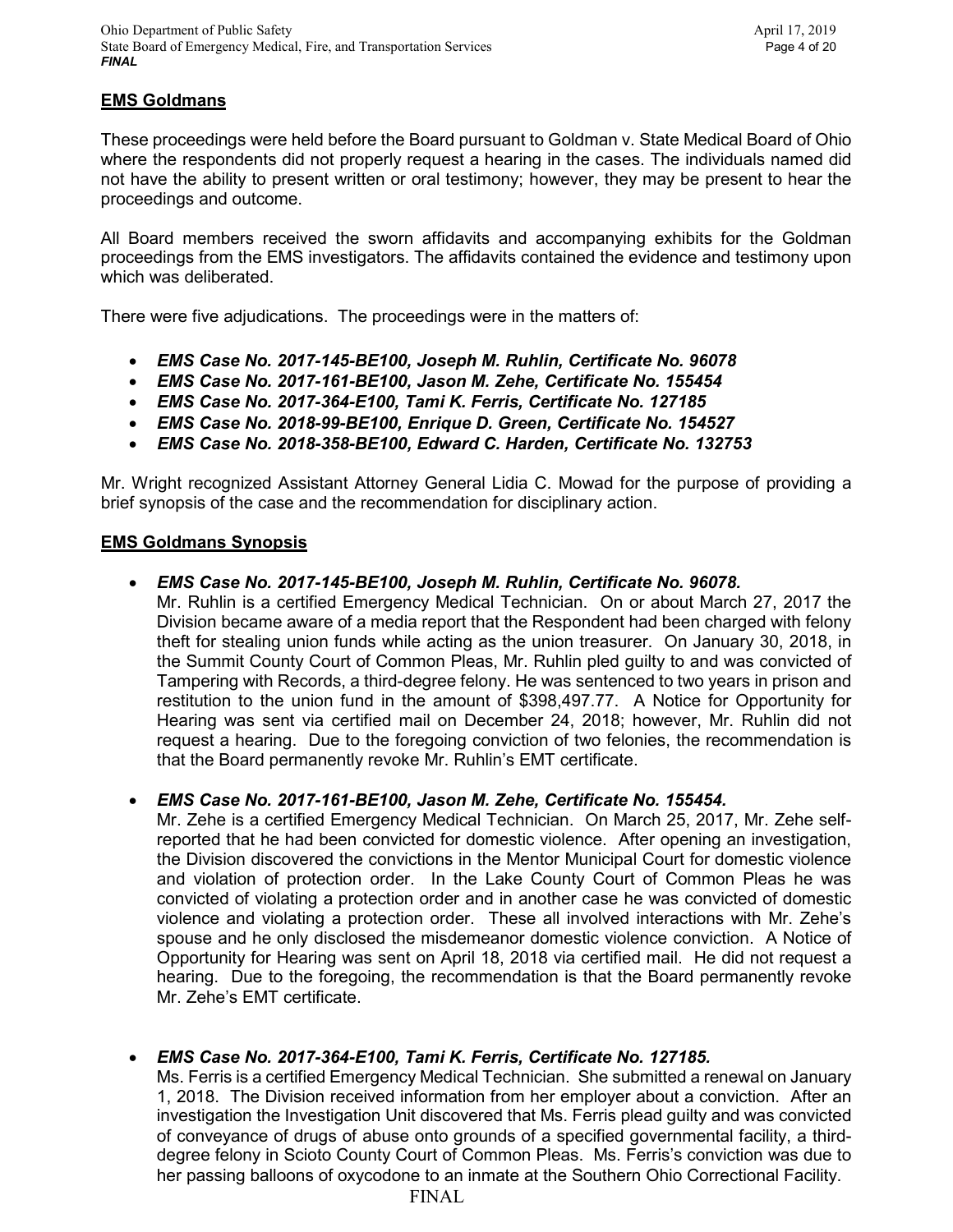## **EMS Goldmans**

These proceedings were held before the Board pursuant to Goldman v. State Medical Board of Ohio where the respondents did not properly request a hearing in the cases. The individuals named did not have the ability to present written or oral testimony; however, they may be present to hear the proceedings and outcome.

All Board members received the sworn affidavits and accompanying exhibits for the Goldman proceedings from the EMS investigators. The affidavits contained the evidence and testimony upon which was deliberated.

There were five adjudications. The proceedings were in the matters of:

- *EMS Case No. 2017-145-BE100, Joseph M. Ruhlin, Certificate No. 96078*
- *EMS Case No. 2017-161-BE100, Jason M. Zehe, Certificate No. 155454*
- *EMS Case No. 2017-364-E100, Tami K. Ferris, Certificate No. 127185*
- *EMS Case No. 2018-99-BE100, Enrique D. Green, Certificate No. 154527*
- *EMS Case No. 2018-358-BE100, Edward C. Harden, Certificate No. 132753*

Mr. Wright recognized Assistant Attorney General Lidia C. Mowad for the purpose of providing a brief synopsis of the case and the recommendation for disciplinary action.

### **EMS Goldmans Synopsis**

### • *EMS Case No. 2017-145-BE100, Joseph M. Ruhlin, Certificate No. 96078.*

Mr. Ruhlin is a certified Emergency Medical Technician. On or about March 27, 2017 the Division became aware of a media report that the Respondent had been charged with felony theft for stealing union funds while acting as the union treasurer. On January 30, 2018, in the Summit County Court of Common Pleas, Mr. Ruhlin pled guilty to and was convicted of Tampering with Records, a third-degree felony. He was sentenced to two years in prison and restitution to the union fund in the amount of \$398,497.77. A Notice for Opportunity for Hearing was sent via certified mail on December 24, 2018; however, Mr. Ruhlin did not request a hearing. Due to the foregoing conviction of two felonies, the recommendation is that the Board permanently revoke Mr. Ruhlin's EMT certificate.

• *EMS Case No. 2017-161-BE100, Jason M. Zehe, Certificate No. 155454.*

Mr. Zehe is a certified Emergency Medical Technician. On March 25, 2017, Mr. Zehe selfreported that he had been convicted for domestic violence. After opening an investigation, the Division discovered the convictions in the Mentor Municipal Court for domestic violence and violation of protection order. In the Lake County Court of Common Pleas he was convicted of violating a protection order and in another case he was convicted of domestic violence and violating a protection order. These all involved interactions with Mr. Zehe's spouse and he only disclosed the misdemeanor domestic violence conviction. A Notice of Opportunity for Hearing was sent on April 18, 2018 via certified mail. He did not request a hearing. Due to the foregoing, the recommendation is that the Board permanently revoke Mr. Zehe's EMT certificate.

## • *EMS Case No. 2017-364-E100, Tami K. Ferris, Certificate No. 127185.*

Ms. Ferris is a certified Emergency Medical Technician. She submitted a renewal on January 1, 2018. The Division received information from her employer about a conviction. After an investigation the Investigation Unit discovered that Ms. Ferris plead guilty and was convicted of conveyance of drugs of abuse onto grounds of a specified governmental facility, a thirddegree felony in Scioto County Court of Common Pleas. Ms. Ferris's conviction was due to her passing balloons of oxycodone to an inmate at the Southern Ohio Correctional Facility.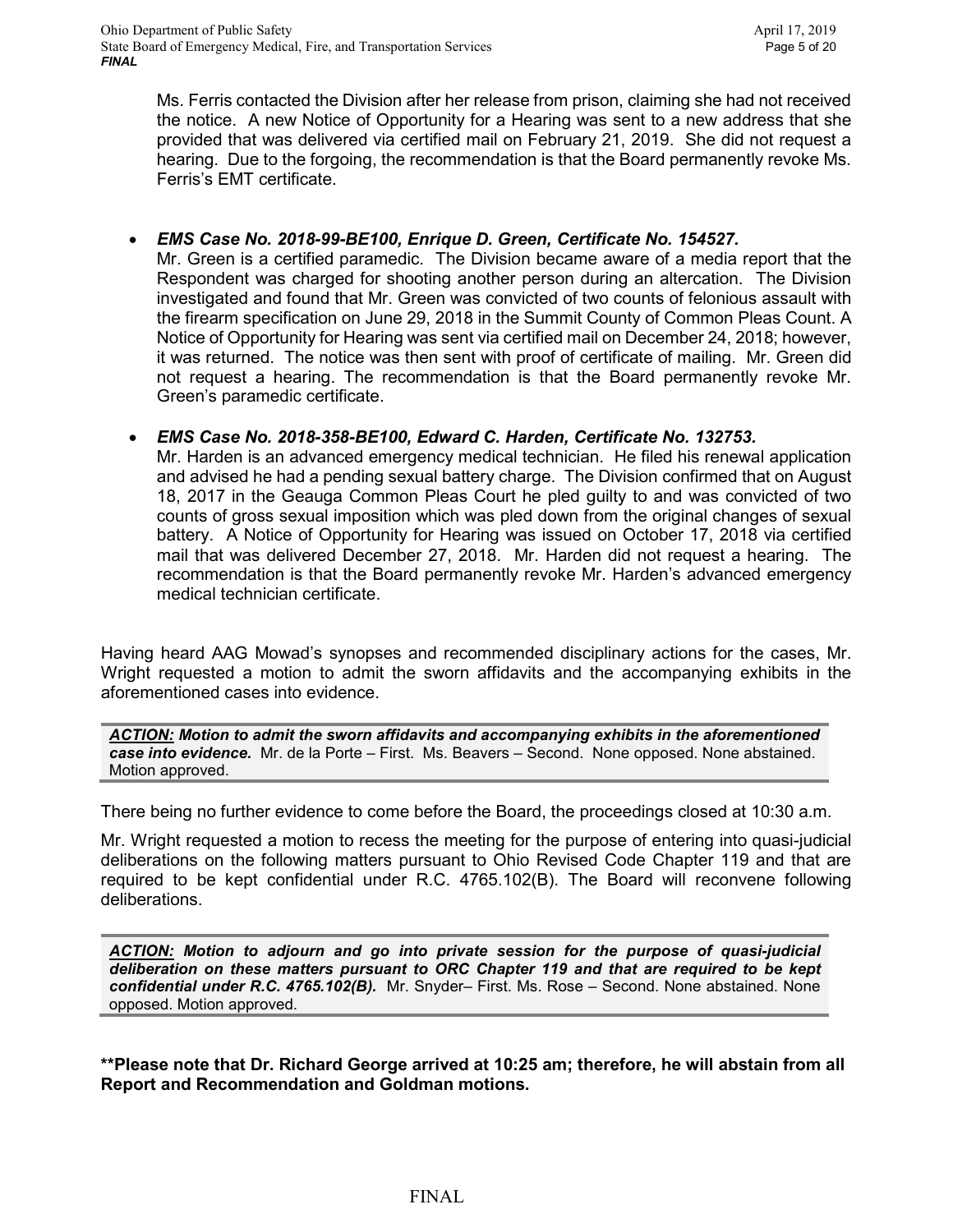Ms. Ferris contacted the Division after her release from prison, claiming she had not received the notice. A new Notice of Opportunity for a Hearing was sent to a new address that she provided that was delivered via certified mail on February 21, 2019. She did not request a hearing. Due to the forgoing, the recommendation is that the Board permanently revoke Ms. Ferris's EMT certificate.

## • *EMS Case No. 2018-99-BE100, Enrique D. Green, Certificate No. 154527.*

Mr. Green is a certified paramedic. The Division became aware of a media report that the Respondent was charged for shooting another person during an altercation. The Division investigated and found that Mr. Green was convicted of two counts of felonious assault with the firearm specification on June 29, 2018 in the Summit County of Common Pleas Count. A Notice of Opportunity for Hearing was sent via certified mail on December 24, 2018; however, it was returned. The notice was then sent with proof of certificate of mailing. Mr. Green did not request a hearing. The recommendation is that the Board permanently revoke Mr. Green's paramedic certificate.

## • *EMS Case No. 2018-358-BE100, Edward C. Harden, Certificate No. 132753.*

Mr. Harden is an advanced emergency medical technician. He filed his renewal application and advised he had a pending sexual battery charge. The Division confirmed that on August 18, 2017 in the Geauga Common Pleas Court he pled guilty to and was convicted of two counts of gross sexual imposition which was pled down from the original changes of sexual battery. A Notice of Opportunity for Hearing was issued on October 17, 2018 via certified mail that was delivered December 27, 2018. Mr. Harden did not request a hearing. The recommendation is that the Board permanently revoke Mr. Harden's advanced emergency medical technician certificate.

Having heard AAG Mowad's synopses and recommended disciplinary actions for the cases, Mr. Wright requested a motion to admit the sworn affidavits and the accompanying exhibits in the aforementioned cases into evidence.

*ACTION: Motion to admit the sworn affidavits and accompanying exhibits in the aforementioned case into evidence.* Mr. de la Porte – First. Ms. Beavers – Second. None opposed. None abstained. Motion approved.

There being no further evidence to come before the Board, the proceedings closed at 10:30 a.m.

Mr. Wright requested a motion to recess the meeting for the purpose of entering into quasi-judicial deliberations on the following matters pursuant to Ohio Revised Code Chapter 119 and that are required to be kept confidential under R.C. 4765.102(B). The Board will reconvene following deliberations.

*ACTION: Motion to adjourn and go into private session for the purpose of quasi-judicial deliberation on these matters pursuant to ORC Chapter 119 and that are required to be kept confidential under R.C. 4765.102(B).* Mr. Snyder– First. Ms. Rose – Second. None abstained. None opposed. Motion approved.

**\*\*Please note that Dr. Richard George arrived at 10:25 am; therefore, he will abstain from all Report and Recommendation and Goldman motions.**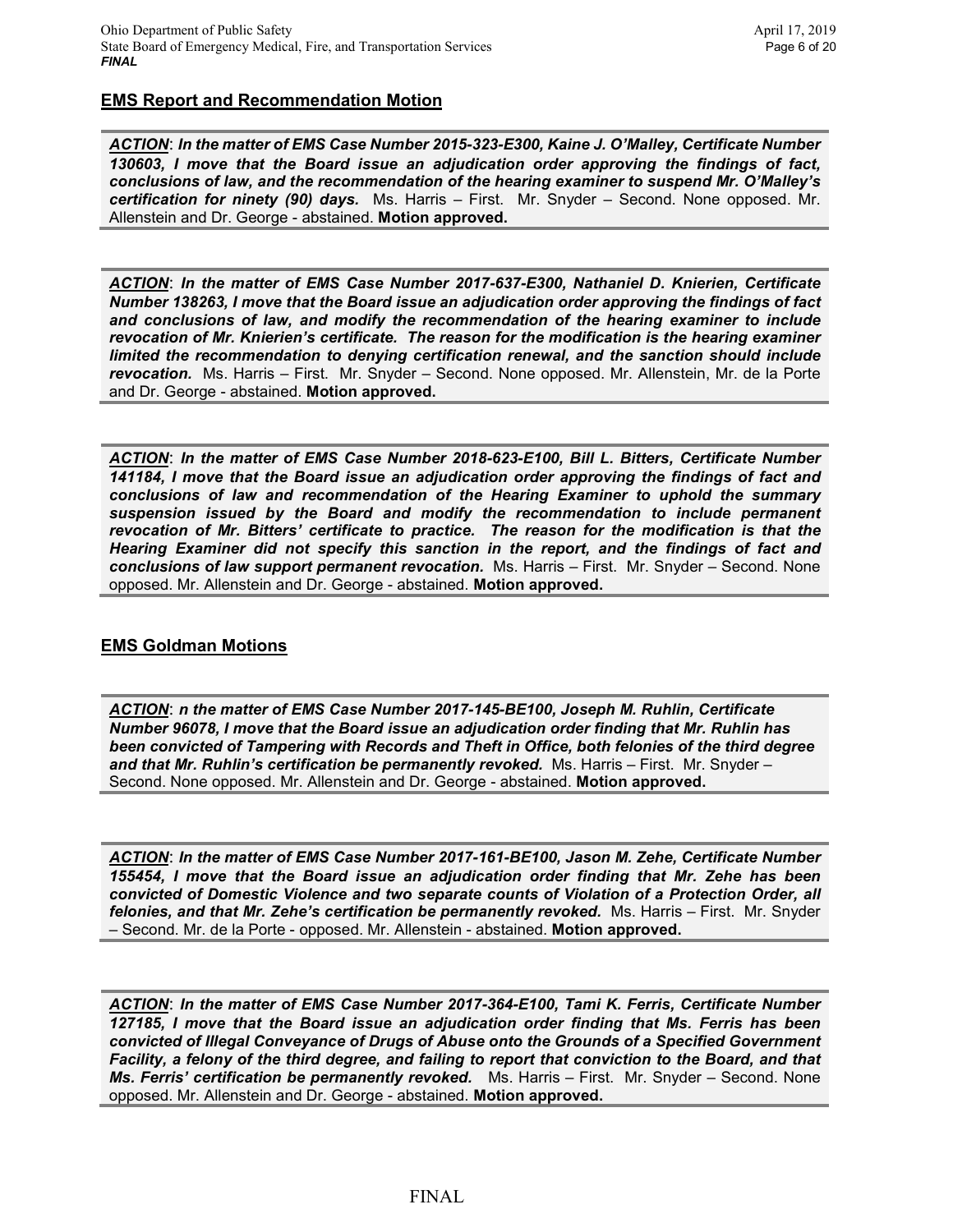#### **EMS Report and Recommendation Motion**

*ACTION*: *In the matter of EMS Case Number 2015-323-E300, Kaine J. O'Malley, Certificate Number 130603, I move that the Board issue an adjudication order approving the findings of fact, conclusions of law, and the recommendation of the hearing examiner to suspend Mr. O'Malley's certification for ninety (90) days.* Ms. Harris – First. Mr. Snyder – Second. None opposed. Mr. Allenstein and Dr. George - abstained. **Motion approved.**

*ACTION*: *In the matter of EMS Case Number 2017-637-E300, Nathaniel D. Knierien, Certificate Number 138263, I move that the Board issue an adjudication order approving the findings of fact and conclusions of law, and modify the recommendation of the hearing examiner to include revocation of Mr. Knierien's certificate. The reason for the modification is the hearing examiner limited the recommendation to denying certification renewal, and the sanction should include revocation.* Ms. Harris – First. Mr. Snyder – Second. None opposed. Mr. Allenstein, Mr. de la Porte and Dr. George - abstained. **Motion approved.**

*ACTION*: *In the matter of EMS Case Number 2018-623-E100, Bill L. Bitters, Certificate Number 141184, I move that the Board issue an adjudication order approving the findings of fact and conclusions of law and recommendation of the Hearing Examiner to uphold the summary suspension issued by the Board and modify the recommendation to include permanent revocation of Mr. Bitters' certificate to practice. The reason for the modification is that the Hearing Examiner did not specify this sanction in the report, and the findings of fact and conclusions of law support permanent revocation.* Ms. Harris – First. Mr. Snyder – Second. None opposed. Mr. Allenstein and Dr. George - abstained. **Motion approved.**

#### **EMS Goldman Motions**

*ACTION*: *n the matter of EMS Case Number 2017-145-BE100, Joseph M. Ruhlin, Certificate Number 96078, I move that the Board issue an adjudication order finding that Mr. Ruhlin has been convicted of Tampering with Records and Theft in Office, both felonies of the third degree and that Mr. Ruhlin's certification be permanently revoked.* Ms. Harris – First. Mr. Snyder – Second. None opposed. Mr. Allenstein and Dr. George - abstained. **Motion approved.**

*ACTION*: *In the matter of EMS Case Number 2017-161-BE100, Jason M. Zehe, Certificate Number 155454, I move that the Board issue an adjudication order finding that Mr. Zehe has been convicted of Domestic Violence and two separate counts of Violation of a Protection Order, all felonies, and that Mr. Zehe's certification be permanently revoked.* Ms. Harris – First. Mr. Snyder – Second. Mr. de la Porte - opposed. Mr. Allenstein - abstained. **Motion approved.**

*ACTION*: *In the matter of EMS Case Number 2017-364-E100, Tami K. Ferris, Certificate Number 127185, I move that the Board issue an adjudication order finding that Ms. Ferris has been convicted of Illegal Conveyance of Drugs of Abuse onto the Grounds of a Specified Government Facility, a felony of the third degree, and failing to report that conviction to the Board, and that Ms. Ferris' certification be permanently revoked.* Ms. Harris – First. Mr. Snyder – Second. None opposed. Mr. Allenstein and Dr. George - abstained. **Motion approved.**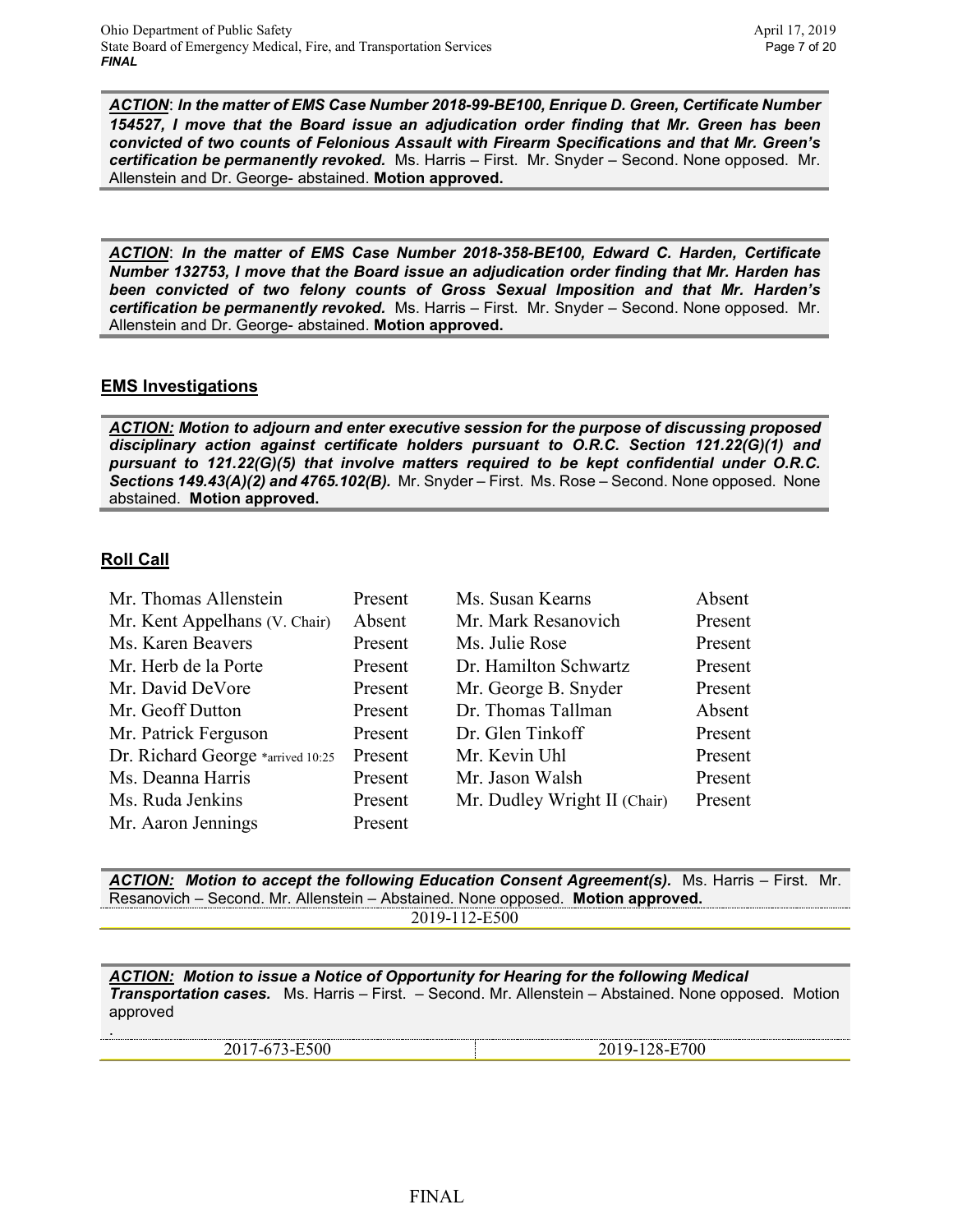*ACTION*: *In the matter of EMS Case Number 2018-99-BE100, Enrique D. Green, Certificate Number 154527, I move that the Board issue an adjudication order finding that Mr. Green has been convicted of two counts of Felonious Assault with Firearm Specifications and that Mr. Green's certification be permanently revoked.* Ms. Harris – First. Mr. Snyder – Second. None opposed. Mr. Allenstein and Dr. George- abstained. **Motion approved.**

*ACTION*: *In the matter of EMS Case Number 2018-358-BE100, Edward C. Harden, Certificate Number 132753, I move that the Board issue an adjudication order finding that Mr. Harden has been convicted of two felony counts of Gross Sexual Imposition and that Mr. Harden's certification be permanently revoked.* Ms. Harris – First. Mr. Snyder – Second. None opposed. Mr. Allenstein and Dr. George- abstained. **Motion approved.**

## **EMS Investigations**

*ACTION: Motion to adjourn and enter executive session for the purpose of discussing proposed disciplinary action against certificate holders pursuant to O.R.C. Section 121.22(G)(1) and pursuant to 121.22(G)(5) that involve matters required to be kept confidential under O.R.C. Sections 149.43(A)(2) and 4765.102(B).* Mr. Snyder – First. Ms. Rose – Second. None opposed. None abstained. **Motion approved.**

## **Roll Call**

.

| Mr. Thomas Allenstein             | Present | Ms. Susan Kearns             | Absent  |
|-----------------------------------|---------|------------------------------|---------|
| Mr. Kent Appelhans (V. Chair)     | Absent  | Mr. Mark Resanovich          | Present |
| Ms. Karen Beavers                 | Present | Ms. Julie Rose               | Present |
| Mr. Herb de la Porte              | Present | Dr. Hamilton Schwartz        | Present |
| Mr. David DeVore                  | Present | Mr. George B. Snyder         | Present |
| Mr. Geoff Dutton                  | Present | Dr. Thomas Tallman           | Absent  |
| Mr. Patrick Ferguson              | Present | Dr. Glen Tinkoff             | Present |
| Dr. Richard George *arrived 10:25 | Present | Mr. Kevin Uhl                | Present |
| Ms. Deanna Harris                 | Present | Mr. Jason Walsh              | Present |
| Ms. Ruda Jenkins                  | Present | Mr. Dudley Wright II (Chair) | Present |
| Mr. Aaron Jennings                | Present |                              |         |

*ACTION: Motion to accept the following Education Consent Agreement(s).* Ms. Harris – First. Mr. Resanovich – Second. Mr. Allenstein – Abstained. None opposed. **Motion approved.**

2019-112-E500

*ACTION: Motion to issue a Notice of Opportunity for Hearing for the following Medical Transportation cases.* Ms. Harris – First. – Second. Mr. Allenstein – Abstained. None opposed. Motion approved

2017-673-E500 2019-128-E700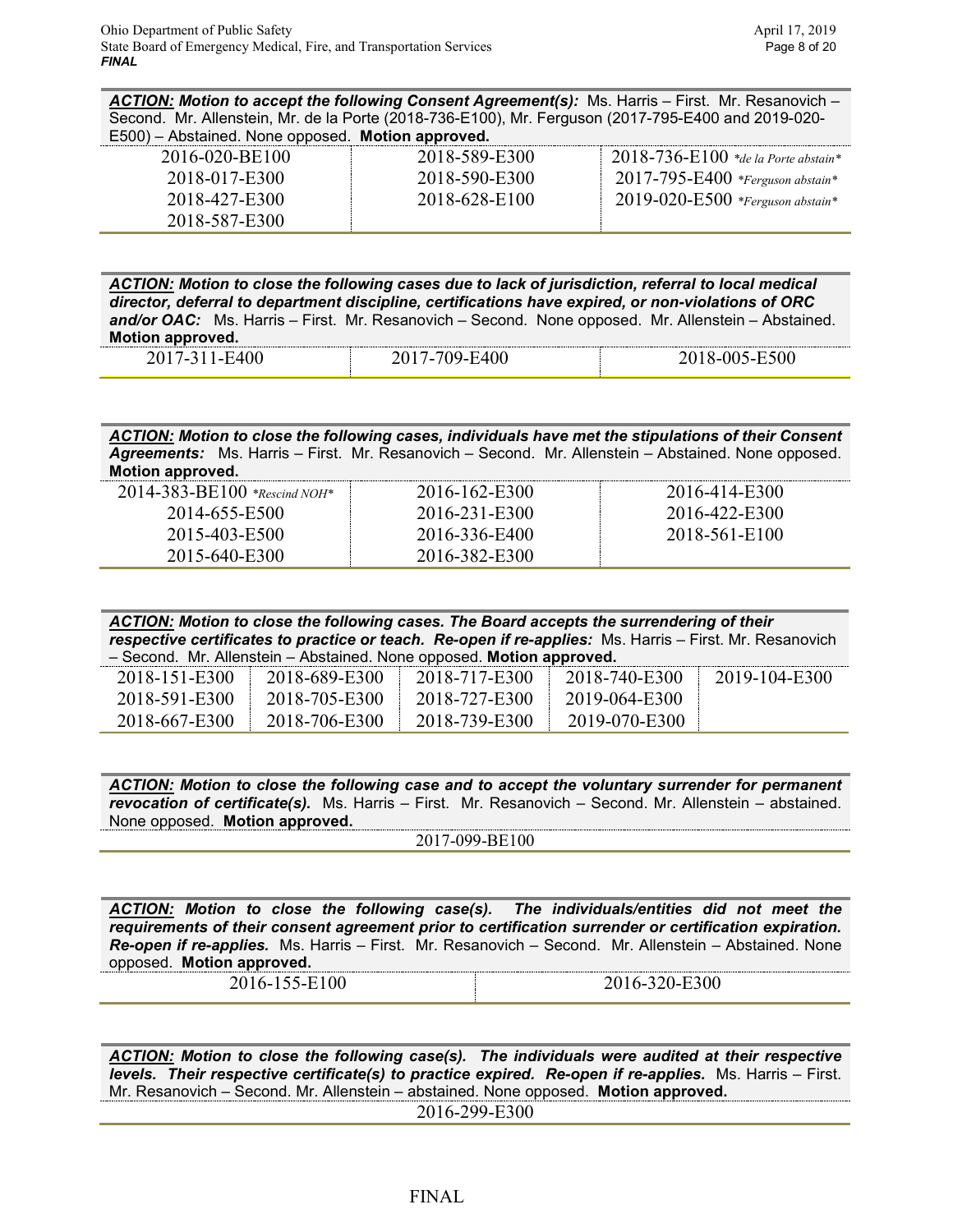*ACTION: Motion to accept the following Consent Agreement(s):* Ms. Harris – First. Mr. Resanovich – Second. Mr. Allenstein, Mr. de la Porte (2018-736-E100), Mr. Ferguson (2017-795-E400 and 2019-020- E500) – Abstained. None opposed. **Motion approved.**

| . .<br>$\sim$ 1.000 $\sim$ 0.000 $\sim$ 0.000 $\sim$ 0.000 $\sim$ 0.000 $\sim$ 0.000 $\sim$ 0.000 $\sim$ 0.000 $\sim$ 0.000 $\sim$ |               |                                            |
|------------------------------------------------------------------------------------------------------------------------------------|---------------|--------------------------------------------|
| 2016-020-BE100                                                                                                                     | 2018-589-E300 | $-2018$ -736- $E100$ *de la Porte abstain* |
| 2018-017-E300                                                                                                                      | 2018-590-E300 | $2017 - 795 - E400$ *Ferguson abstain*     |
| 2018-427-E300                                                                                                                      | 2018-628-E100 | 2019-020-E500 *Ferguson abstain*           |
| 2018-587-E300                                                                                                                      |               |                                            |

*ACTION: Motion to close the following cases due to lack of jurisdiction, referral to local medical director, deferral to department discipline, certifications have expired, or non-violations of ORC and/or OAC:* Ms. Harris – First. Mr. Resanovich – Second. None opposed. Mr. Allenstein – Abstained. **Motion approved.**

| -------------<br>___<br>$\sim$ | -------------<br>___<br>__ | $\sim$<br>$\sim$<br>. .<br>$-$ |
|--------------------------------|----------------------------|--------------------------------|
|                                |                            |                                |

#### *ACTION: Motion to close the following cases, individuals have met the stipulations of their Consent Agreements:* Ms. Harris – First. Mr. Resanovich – Second. Mr. Allenstein – Abstained. None opposed. **Motion approved.**

| $2014 - 383 - BE100$ *Rescind NOH* | 2016-162-E300 | 2016-414-E300 |
|------------------------------------|---------------|---------------|
| 2014-655-E500                      | 2016-231-E300 | 2016-422-E300 |
| 2015-403-E500                      | 2016-336-E400 | 2018-561-E100 |
| 2015-640-E300                      | 2016-382-E300 |               |

| ACTION: Motion to close the following cases. The Board accepts the surrendering of their                |               |               |                      |               |
|---------------------------------------------------------------------------------------------------------|---------------|---------------|----------------------|---------------|
| respective certificates to practice or teach. Re-open if re-applies: Ms. Harris – First. Mr. Resanovich |               |               |                      |               |
| - Second. Mr. Allenstein - Abstained. None opposed. Motion approved.                                    |               |               |                      |               |
| 2018-151-E300                                                                                           | 2018-689-E300 | 2018-717-E300 | $12018 - 740 - E300$ | 2019-104-E300 |

| 2018-591-E300 | 2018-705-E300 | 2018-727-E300 | 2019-064-E300 |
|---------------|---------------|---------------|---------------|
| 2018-667-E300 | 2018-706-E300 | 2018-739-E300 | 2019-070-E300 |

*ACTION: Motion to close the following case and to accept the voluntary surrender for permanent revocation of certificate(s).* Ms. Harris – First. Mr. Resanovich – Second. Mr. Allenstein – abstained. None opposed. **Motion approved.**

2017-099-BE100

*ACTION: Motion to close the following case(s). The individuals/entities did not meet the requirements of their consent agreement prior to certification surrender or certification expiration. Re-open if re-applies.* Ms. Harris – First. Mr. Resanovich – Second. Mr. Allenstein – Abstained. None opposed. **Motion approved.**

2016-155-E100 2016-320-E300

*ACTION: Motion to close the following case(s). The individuals were audited at their respective levels. Their respective certificate(s) to practice expired. Re-open if re-applies.* Ms. Harris – First. Mr. Resanovich – Second. Mr. Allenstein – abstained. None opposed. **Motion approved.**

2016-299-E300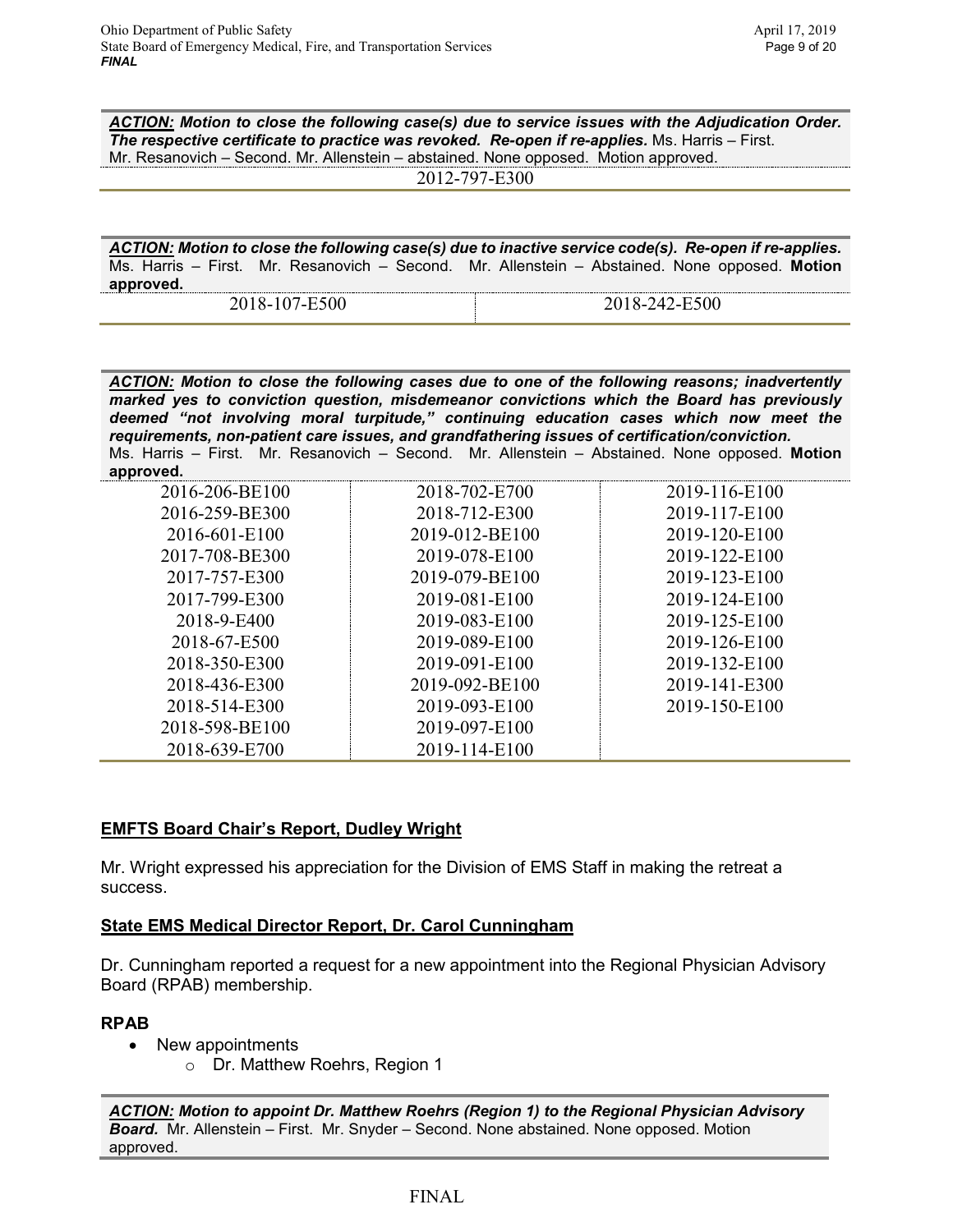*ACTION: Motion to close the following case(s) due to service issues with the Adjudication Order. The respective certificate to practice was revoked. Re-open if re-applies.* Ms. Harris – First. Mr. Resanovich – Second. Mr. Allenstein – abstained. None opposed. Motion approved.

2012-797-E300

*ACTION: Motion to close the following case(s) due to inactive service code(s). Re-open if re-applies.*  Ms. Harris – First. Mr. Resanovich – Second. Mr. Allenstein – Abstained. None opposed. **Motion approved.**

*ACTION: Motion to close the following cases due to one of the following reasons; inadvertently marked yes to conviction question, misdemeanor convictions which the Board has previously deemed "not involving moral turpitude," continuing education cases which now meet the requirements, non-patient care issues, and grandfathering issues of certification/conviction.* Ms. Harris – First. Mr. Resanovich – Second. Mr. Allenstein – Abstained. None opposed. **Motion** 

| provea. |     |  |
|---------|-----|--|
|         | 6 ' |  |

| 2016-206-BE100 | 2018-702-E700  | 2019-116-E100 |
|----------------|----------------|---------------|
| 2016-259-BE300 | 2018-712-E300  | 2019-117-E100 |
| 2016-601-E100  | 2019-012-BE100 | 2019-120-E100 |
| 2017-708-BE300 | 2019-078-E100  | 2019-122-E100 |
| 2017-757-E300  | 2019-079-BE100 | 2019-123-E100 |
| 2017-799-E300  | 2019-081-E100  | 2019-124-E100 |
| 2018-9-E400    | 2019-083-E100  | 2019-125-E100 |
| 2018-67-E500   | 2019-089-E100  | 2019-126-E100 |
| 2018-350-E300  | 2019-091-E100  | 2019-132-E100 |
| 2018-436-E300  | 2019-092-BE100 | 2019-141-E300 |
| 2018-514-E300  | 2019-093-E100  | 2019-150-E100 |
| 2018-598-BE100 | 2019-097-E100  |               |
| 2018-639-E700  | 2019-114-E100  |               |

# **EMFTS Board Chair's Report, Dudley Wright**

Mr. Wright expressed his appreciation for the Division of EMS Staff in making the retreat a success.

# **State EMS Medical Director Report, Dr. Carol Cunningham**

Dr. Cunningham reported a request for a new appointment into the Regional Physician Advisory Board (RPAB) membership.

# **RPAB**

- New appointments
	- o Dr. Matthew Roehrs, Region 1

*ACTION: Motion to appoint Dr. Matthew Roehrs (Region 1) to the Regional Physician Advisory Board.* Mr. Allenstein – First. Mr. Snyder – Second. None abstained. None opposed. Motion approved.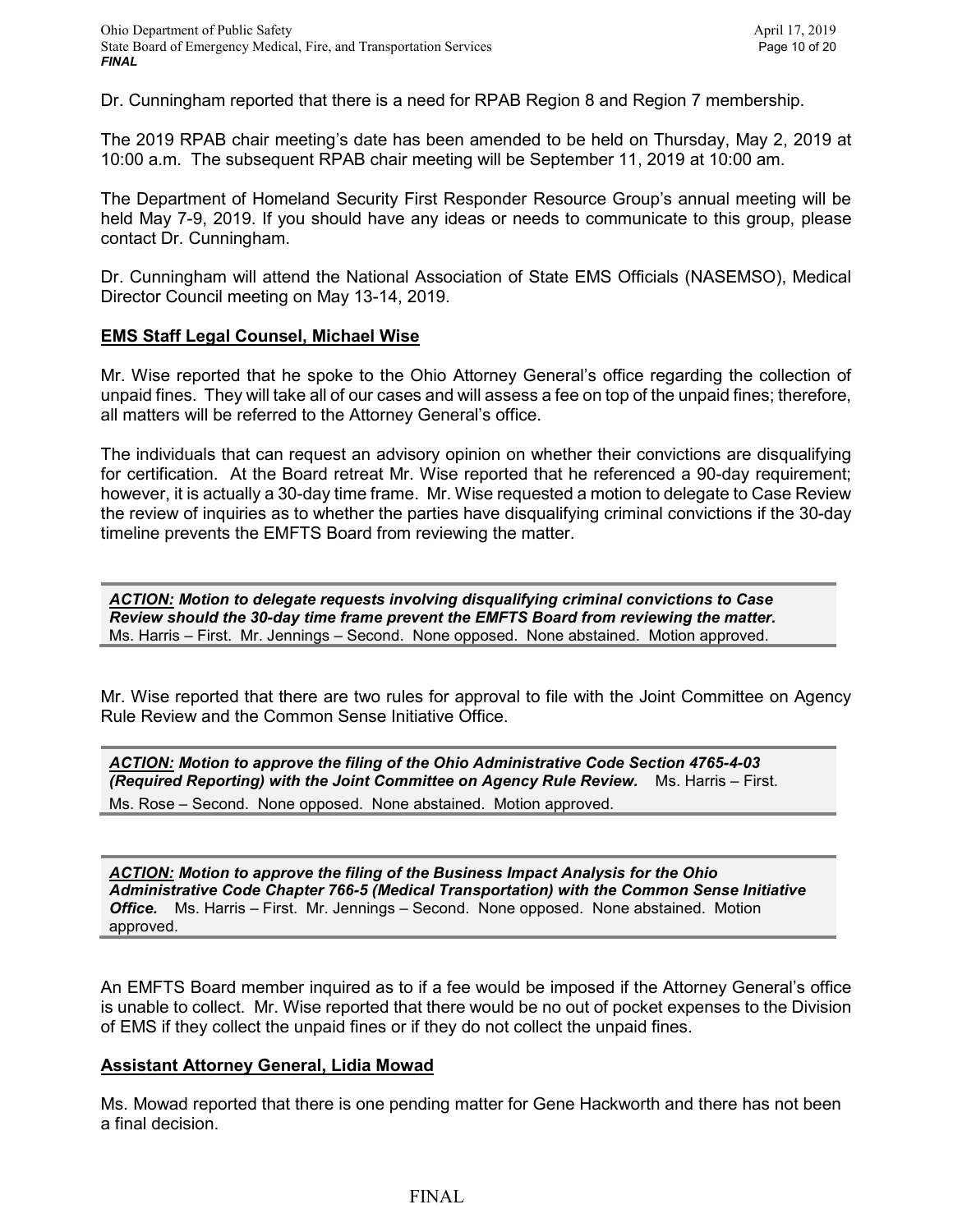Dr. Cunningham reported that there is a need for RPAB Region 8 and Region 7 membership.

The 2019 RPAB chair meeting's date has been amended to be held on Thursday, May 2, 2019 at 10:00 a.m. The subsequent RPAB chair meeting will be September 11, 2019 at 10:00 am.

The Department of Homeland Security First Responder Resource Group's annual meeting will be held May 7-9, 2019. If you should have any ideas or needs to communicate to this group, please contact Dr. Cunningham.

Dr. Cunningham will attend the National Association of State EMS Officials (NASEMSO), Medical Director Council meeting on May 13-14, 2019.

#### **EMS Staff Legal Counsel, Michael Wise**

Mr. Wise reported that he spoke to the Ohio Attorney General's office regarding the collection of unpaid fines. They will take all of our cases and will assess a fee on top of the unpaid fines; therefore, all matters will be referred to the Attorney General's office.

The individuals that can request an advisory opinion on whether their convictions are disqualifying for certification. At the Board retreat Mr. Wise reported that he referenced a 90-day requirement; however, it is actually a 30-day time frame. Mr. Wise requested a motion to delegate to Case Review the review of inquiries as to whether the parties have disqualifying criminal convictions if the 30-day timeline prevents the EMFTS Board from reviewing the matter.

*ACTION: Motion to delegate requests involving disqualifying criminal convictions to Case Review should the 30-day time frame prevent the EMFTS Board from reviewing the matter.*  Ms. Harris – First. Mr. Jennings – Second. None opposed. None abstained. Motion approved.

Mr. Wise reported that there are two rules for approval to file with the Joint Committee on Agency Rule Review and the Common Sense Initiative Office.

*ACTION: Motion to approve the filing of the Ohio Administrative Code Section 4765-4-03 (Required Reporting) with the Joint Committee on Agency Rule Review.* Ms. Harris – First. Ms. Rose – Second. None opposed. None abstained. Motion approved.

*ACTION: Motion to approve the filing of the Business Impact Analysis for the Ohio Administrative Code Chapter 766-5 (Medical Transportation) with the Common Sense Initiative Office.* Ms. Harris – First. Mr. Jennings – Second. None opposed. None abstained. Motion approved.

An EMFTS Board member inquired as to if a fee would be imposed if the Attorney General's office is unable to collect. Mr. Wise reported that there would be no out of pocket expenses to the Division of EMS if they collect the unpaid fines or if they do not collect the unpaid fines.

#### **Assistant Attorney General, Lidia Mowad**

Ms. Mowad reported that there is one pending matter for Gene Hackworth and there has not been a final decision.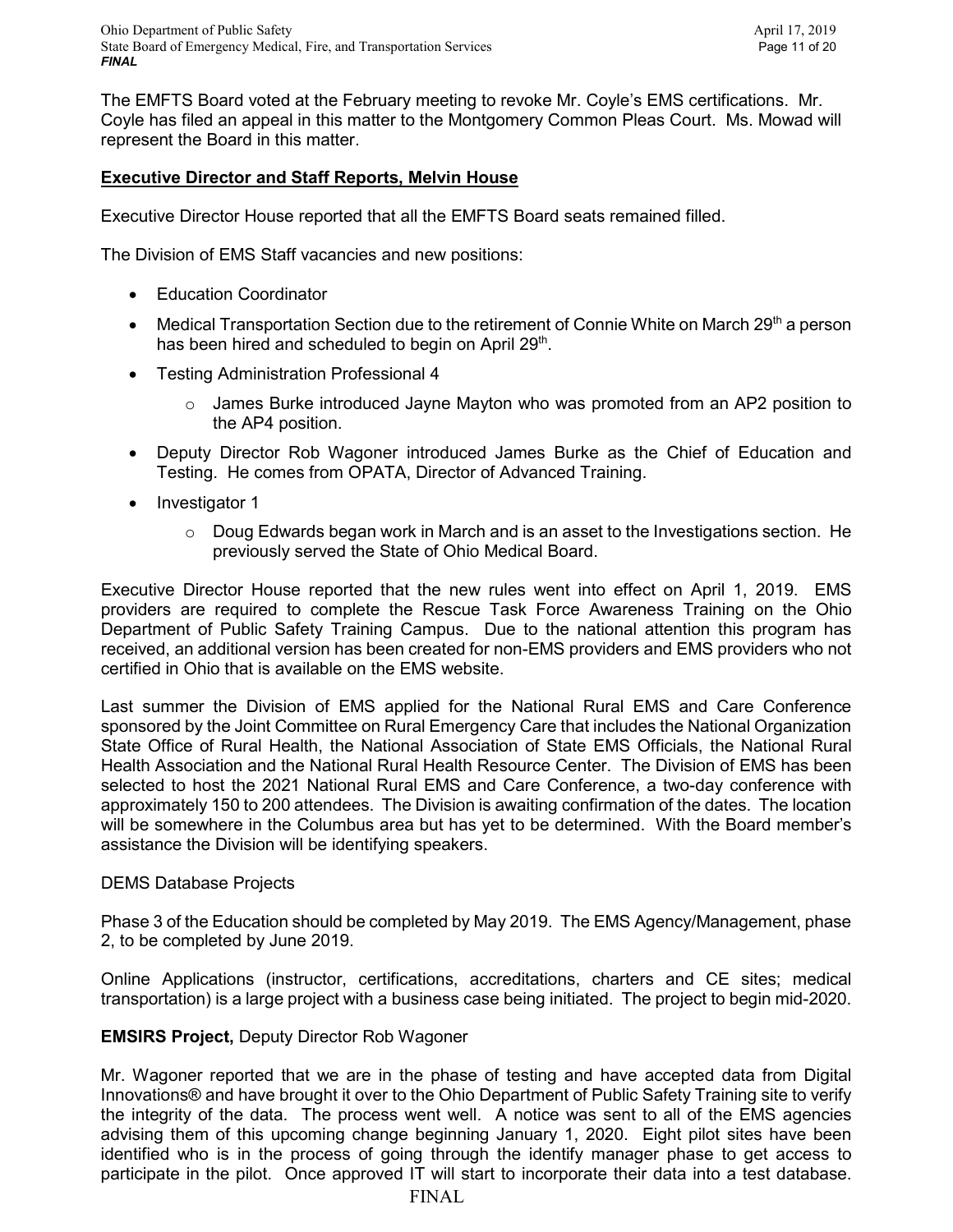The EMFTS Board voted at the February meeting to revoke Mr. Coyle's EMS certifications. Mr. Coyle has filed an appeal in this matter to the Montgomery Common Pleas Court. Ms. Mowad will represent the Board in this matter.

## **Executive Director and Staff Reports, Melvin House**

Executive Director House reported that all the EMFTS Board seats remained filled.

The Division of EMS Staff vacancies and new positions:

- Education Coordinator
- Medical Transportation Section due to the retirement of Connie White on March  $29<sup>th</sup>$  a person has been hired and scheduled to begin on April 29<sup>th</sup>.
- Testing Administration Professional 4
	- $\circ$  James Burke introduced Jayne Mayton who was promoted from an AP2 position to the AP4 position.
- Deputy Director Rob Wagoner introduced James Burke as the Chief of Education and Testing. He comes from OPATA, Director of Advanced Training.
- Investigator 1
	- $\circ$  Doug Edwards began work in March and is an asset to the Investigations section. He previously served the State of Ohio Medical Board.

Executive Director House reported that the new rules went into effect on April 1, 2019. EMS providers are required to complete the Rescue Task Force Awareness Training on the Ohio Department of Public Safety Training Campus. Due to the national attention this program has received, an additional version has been created for non-EMS providers and EMS providers who not certified in Ohio that is available on the EMS website.

Last summer the Division of EMS applied for the National Rural EMS and Care Conference sponsored by the Joint Committee on Rural Emergency Care that includes the National Organization State Office of Rural Health, the National Association of State EMS Officials, the National Rural Health Association and the National Rural Health Resource Center. The Division of EMS has been selected to host the 2021 National Rural EMS and Care Conference, a two-day conference with approximately 150 to 200 attendees. The Division is awaiting confirmation of the dates. The location will be somewhere in the Columbus area but has yet to be determined. With the Board member's assistance the Division will be identifying speakers.

## DEMS Database Projects

Phase 3 of the Education should be completed by May 2019. The EMS Agency/Management, phase 2, to be completed by June 2019.

Online Applications (instructor, certifications, accreditations, charters and CE sites; medical transportation) is a large project with a business case being initiated. The project to begin mid-2020.

## **EMSIRS Project,** Deputy Director Rob Wagoner

Mr. Wagoner reported that we are in the phase of testing and have accepted data from Digital Innovations® and have brought it over to the Ohio Department of Public Safety Training site to verify the integrity of the data. The process went well. A notice was sent to all of the EMS agencies advising them of this upcoming change beginning January 1, 2020. Eight pilot sites have been identified who is in the process of going through the identify manager phase to get access to participate in the pilot. Once approved IT will start to incorporate their data into a test database.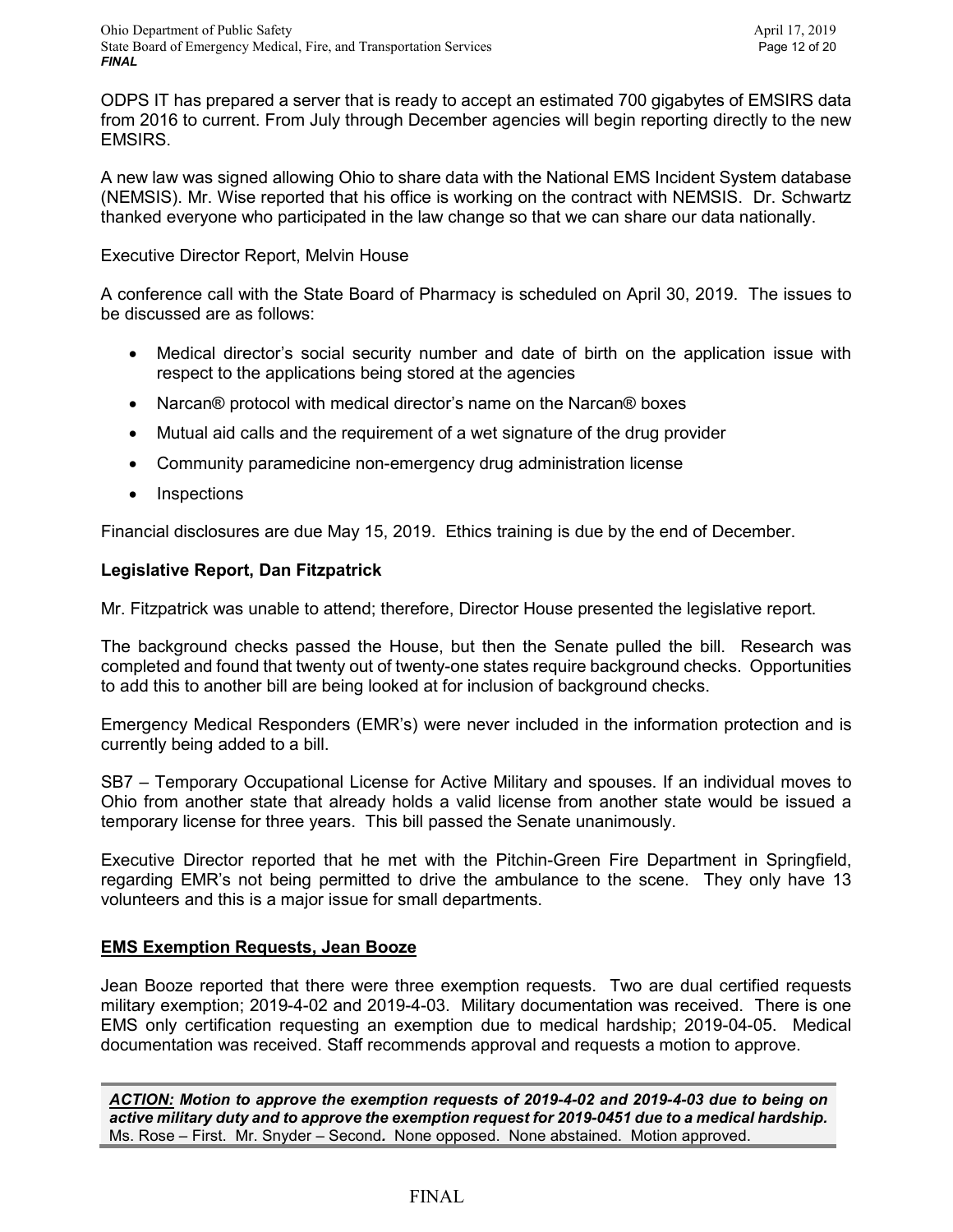ODPS IT has prepared a server that is ready to accept an estimated 700 gigabytes of EMSIRS data from 2016 to current. From July through December agencies will begin reporting directly to the new EMSIRS.

A new law was signed allowing Ohio to share data with the National EMS Incident System database (NEMSIS). Mr. Wise reported that his office is working on the contract with NEMSIS. Dr. Schwartz thanked everyone who participated in the law change so that we can share our data nationally.

## Executive Director Report, Melvin House

A conference call with the State Board of Pharmacy is scheduled on April 30, 2019. The issues to be discussed are as follows:

- Medical director's social security number and date of birth on the application issue with respect to the applications being stored at the agencies
- Narcan® protocol with medical director's name on the Narcan® boxes
- Mutual aid calls and the requirement of a wet signature of the drug provider
- Community paramedicine non-emergency drug administration license
- Inspections

Financial disclosures are due May 15, 2019. Ethics training is due by the end of December.

## **Legislative Report, Dan Fitzpatrick**

Mr. Fitzpatrick was unable to attend; therefore, Director House presented the legislative report.

The background checks passed the House, but then the Senate pulled the bill. Research was completed and found that twenty out of twenty-one states require background checks. Opportunities to add this to another bill are being looked at for inclusion of background checks.

Emergency Medical Responders (EMR's) were never included in the information protection and is currently being added to a bill.

SB7 – Temporary Occupational License for Active Military and spouses. If an individual moves to Ohio from another state that already holds a valid license from another state would be issued a temporary license for three years. This bill passed the Senate unanimously.

Executive Director reported that he met with the Pitchin-Green Fire Department in Springfield, regarding EMR's not being permitted to drive the ambulance to the scene. They only have 13 volunteers and this is a major issue for small departments.

## **EMS Exemption Requests, Jean Booze**

Jean Booze reported that there were three exemption requests. Two are dual certified requests military exemption; 2019-4-02 and 2019-4-03. Military documentation was received. There is one EMS only certification requesting an exemption due to medical hardship; 2019-04-05. Medical documentation was received. Staff recommends approval and requests a motion to approve.

*ACTION: Motion to approve the exemption requests of 2019-4-02 and 2019-4-03 due to being on active military duty and to approve the exemption request for 2019-0451 due to a medical hardship.*  Ms. Rose – First. Mr. Snyder – Second*.* None opposed. None abstained. Motion approved.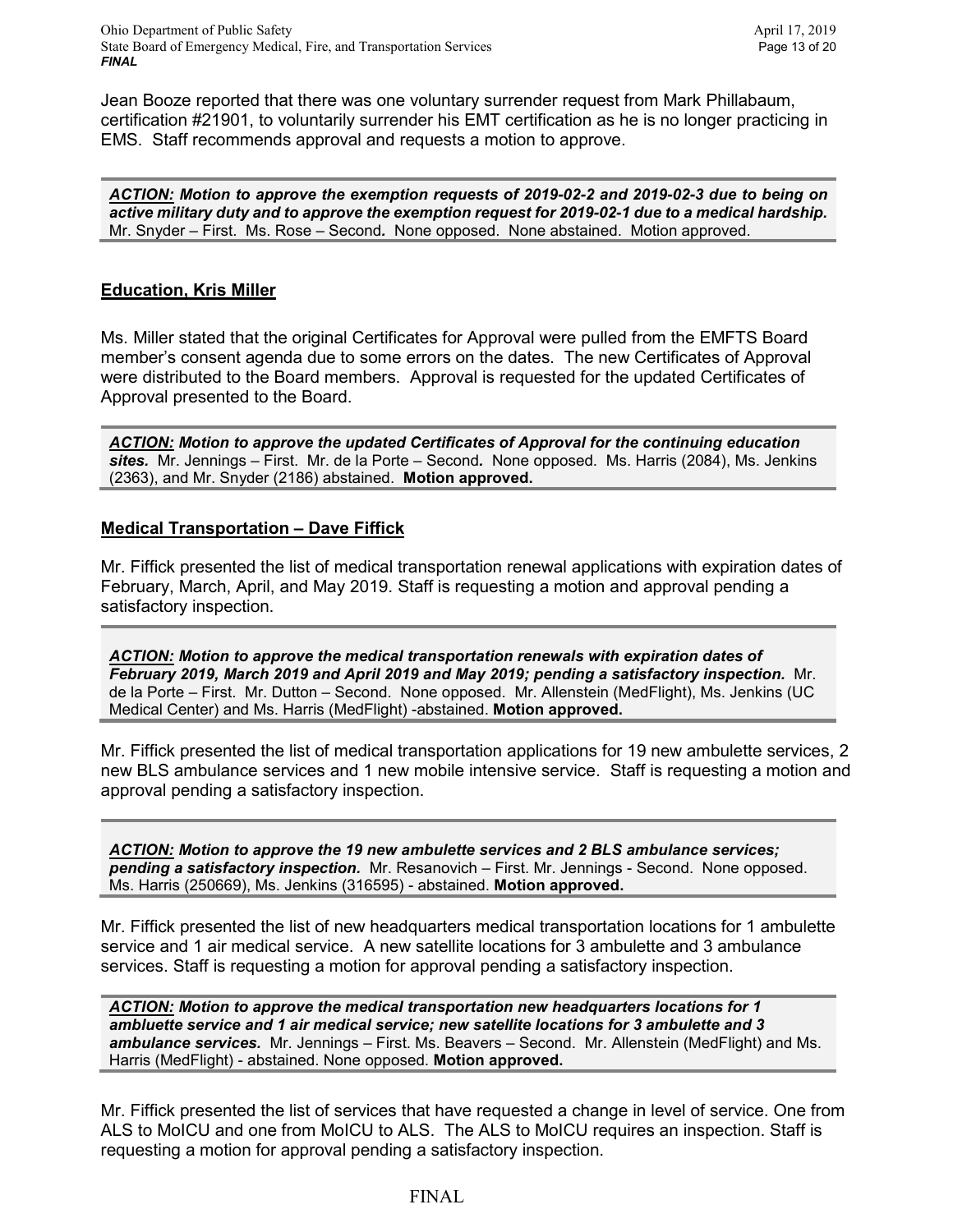Jean Booze reported that there was one voluntary surrender request from Mark Phillabaum, certification #21901, to voluntarily surrender his EMT certification as he is no longer practicing in EMS. Staff recommends approval and requests a motion to approve.

*ACTION: Motion to approve the exemption requests of 2019-02-2 and 2019-02-3 due to being on active military duty and to approve the exemption request for 2019-02-1 due to a medical hardship.*  Mr. Snyder – First. Ms. Rose – Second*.* None opposed. None abstained. Motion approved.

## **Education, Kris Miller**

Ms. Miller stated that the original Certificates for Approval were pulled from the EMFTS Board member's consent agenda due to some errors on the dates. The new Certificates of Approval were distributed to the Board members. Approval is requested for the updated Certificates of Approval presented to the Board.

*ACTION: Motion to approve the updated Certificates of Approval for the continuing education sites.* Mr. Jennings – First. Mr. de la Porte – Second*.* None opposed. Ms. Harris (2084), Ms. Jenkins (2363), and Mr. Snyder (2186) abstained. **Motion approved.**

### **Medical Transportation – Dave Fiffick**

Mr. Fiffick presented the list of medical transportation renewal applications with expiration dates of February, March, April, and May 2019. Staff is requesting a motion and approval pending a satisfactory inspection.

*ACTION: Motion to approve the medical transportation renewals with expiration dates of February 2019, March 2019 and April 2019 and May 2019; pending a satisfactory inspection.* Mr. de la Porte – First. Mr. Dutton – Second. None opposed. Mr. Allenstein (MedFlight), Ms. Jenkins (UC Medical Center) and Ms. Harris (MedFlight) -abstained. **Motion approved.**

Mr. Fiffick presented the list of medical transportation applications for 19 new ambulette services, 2 new BLS ambulance services and 1 new mobile intensive service. Staff is requesting a motion and approval pending a satisfactory inspection.

*ACTION: Motion to approve the 19 new ambulette services and 2 BLS ambulance services; pending a satisfactory inspection.* Mr. Resanovich – First. Mr. Jennings - Second. None opposed. Ms. Harris (250669), Ms. Jenkins (316595) - abstained. **Motion approved.** 

Mr. Fiffick presented the list of new headquarters medical transportation locations for 1 ambulette service and 1 air medical service. A new satellite locations for 3 ambulette and 3 ambulance services. Staff is requesting a motion for approval pending a satisfactory inspection.

*ACTION: Motion to approve the medical transportation new headquarters locations for 1 ambluette service and 1 air medical service; new satellite locations for 3 ambulette and 3 ambulance services.* Mr. Jennings – First. Ms. Beavers – Second. Mr. Allenstein (MedFlight) and Ms. Harris (MedFlight) - abstained. None opposed. **Motion approved.**

Mr. Fiffick presented the list of services that have requested a change in level of service. One from ALS to MoICU and one from MoICU to ALS. The ALS to MoICU requires an inspection. Staff is requesting a motion for approval pending a satisfactory inspection.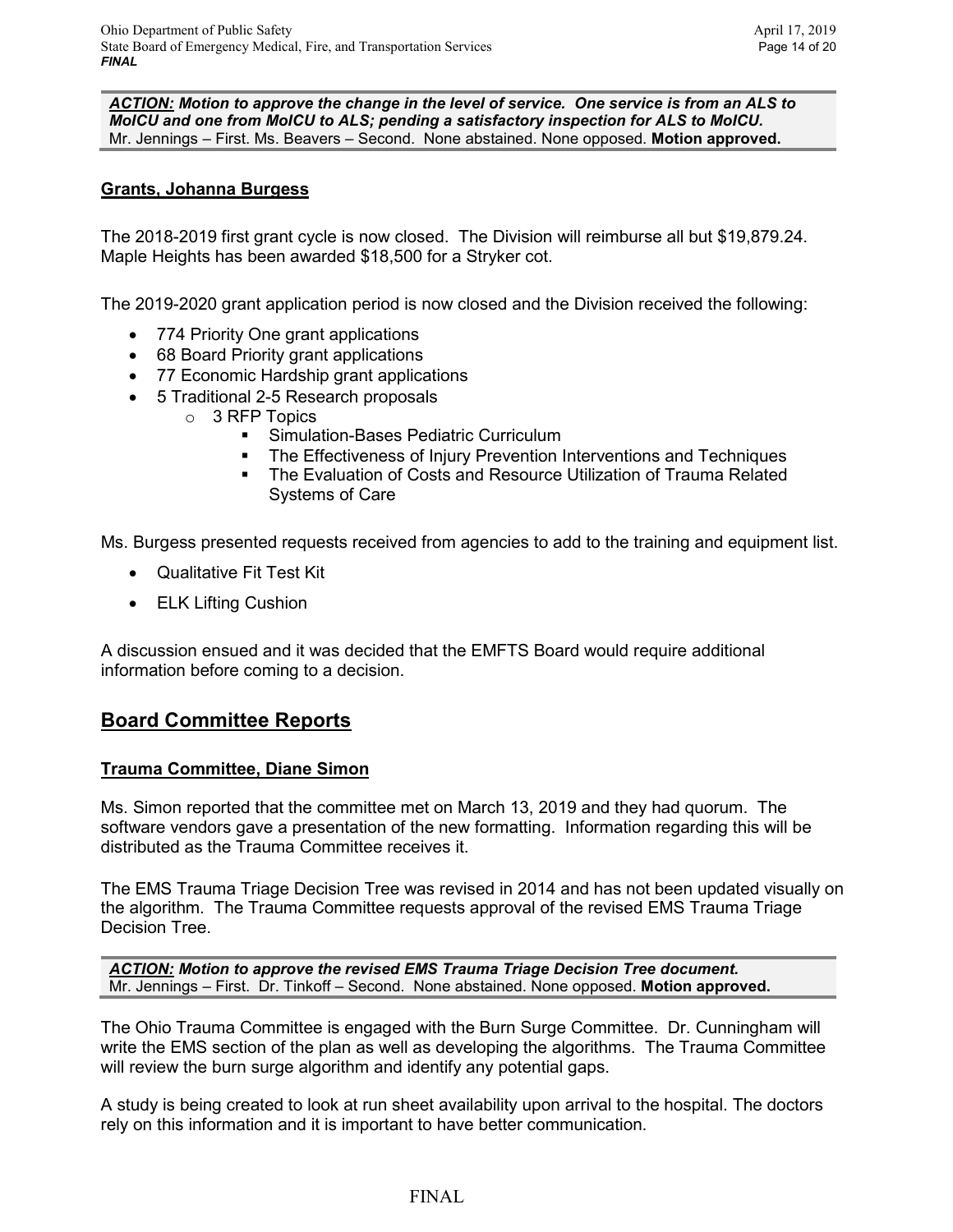*ACTION: Motion to approve the change in the level of service. One service is from an ALS to MoICU and one from MoICU to ALS; pending a satisfactory inspection for ALS to MoICU.* Mr. Jennings – First. Ms. Beavers – Second. None abstained. None opposed. **Motion approved.**

## **Grants, Johanna Burgess**

The 2018-2019 first grant cycle is now closed. The Division will reimburse all but \$19,879.24. Maple Heights has been awarded \$18,500 for a Stryker cot.

The 2019-2020 grant application period is now closed and the Division received the following:

- 774 Priority One grant applications
- 68 Board Priority grant applications
- 77 Economic Hardship grant applications
- 5 Traditional 2-5 Research proposals
	- o 3 RFP Topics
		- **Simulation-Bases Pediatric Curriculum**
		- The Effectiveness of Injury Prevention Interventions and Techniques
		- **The Evaluation of Costs and Resource Utilization of Trauma Related** Systems of Care

Ms. Burgess presented requests received from agencies to add to the training and equipment list.

- Qualitative Fit Test Kit
- ELK Lifting Cushion

A discussion ensued and it was decided that the EMFTS Board would require additional information before coming to a decision.

# **Board Committee Reports**

## **Trauma Committee, Diane Simon**

Ms. Simon reported that the committee met on March 13, 2019 and they had quorum. The software vendors gave a presentation of the new formatting. Information regarding this will be distributed as the Trauma Committee receives it.

The EMS Trauma Triage Decision Tree was revised in 2014 and has not been updated visually on the algorithm. The Trauma Committee requests approval of the revised EMS Trauma Triage Decision Tree.

*ACTION: Motion to approve the revised EMS Trauma Triage Decision Tree document.*  Mr. Jennings – First. Dr. Tinkoff – Second. None abstained. None opposed. **Motion approved.**

The Ohio Trauma Committee is engaged with the Burn Surge Committee. Dr. Cunningham will write the EMS section of the plan as well as developing the algorithms. The Trauma Committee will review the burn surge algorithm and identify any potential gaps.

A study is being created to look at run sheet availability upon arrival to the hospital. The doctors rely on this information and it is important to have better communication.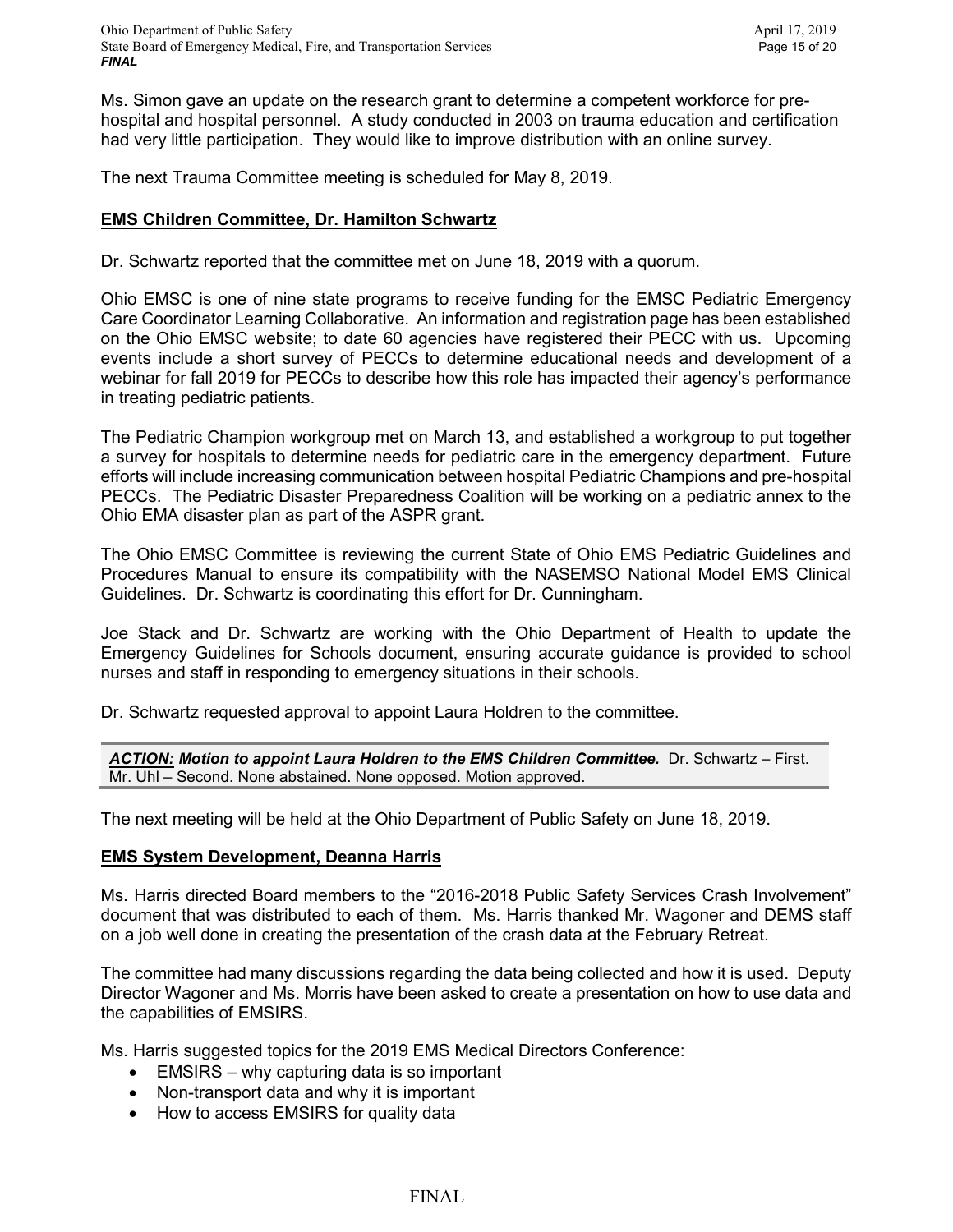Ms. Simon gave an update on the research grant to determine a competent workforce for prehospital and hospital personnel. A study conducted in 2003 on trauma education and certification had very little participation. They would like to improve distribution with an online survey.

The next Trauma Committee meeting is scheduled for May 8, 2019.

## **EMS Children Committee, Dr. Hamilton Schwartz**

Dr. Schwartz reported that the committee met on June 18, 2019 with a quorum.

Ohio EMSC is one of nine state programs to receive funding for the EMSC Pediatric Emergency Care Coordinator Learning Collaborative. An information and registration page has been established on the Ohio EMSC website; to date 60 agencies have registered their PECC with us. Upcoming events include a short survey of PECCs to determine educational needs and development of a webinar for fall 2019 for PECCs to describe how this role has impacted their agency's performance in treating pediatric patients.

The Pediatric Champion workgroup met on March 13, and established a workgroup to put together a survey for hospitals to determine needs for pediatric care in the emergency department. Future efforts will include increasing communication between hospital Pediatric Champions and pre-hospital PECCs. The Pediatric Disaster Preparedness Coalition will be working on a pediatric annex to the Ohio EMA disaster plan as part of the ASPR grant.

The Ohio EMSC Committee is reviewing the current State of Ohio EMS Pediatric Guidelines and Procedures Manual to ensure its compatibility with the NASEMSO National Model EMS Clinical Guidelines. Dr. Schwartz is coordinating this effort for Dr. Cunningham.

Joe Stack and Dr. Schwartz are working with the Ohio Department of Health to update the Emergency Guidelines for Schools document, ensuring accurate guidance is provided to school nurses and staff in responding to emergency situations in their schools.

Dr. Schwartz requested approval to appoint Laura Holdren to the committee.

*ACTION: Motion to appoint Laura Holdren to the EMS Children Committee.* Dr. Schwartz – First. Mr. Uhl – Second. None abstained. None opposed. Motion approved.

The next meeting will be held at the Ohio Department of Public Safety on June 18, 2019.

#### **EMS System Development, Deanna Harris**

Ms. Harris directed Board members to the "2016-2018 Public Safety Services Crash Involvement" document that was distributed to each of them. Ms. Harris thanked Mr. Wagoner and DEMS staff on a job well done in creating the presentation of the crash data at the February Retreat.

The committee had many discussions regarding the data being collected and how it is used. Deputy Director Wagoner and Ms. Morris have been asked to create a presentation on how to use data and the capabilities of EMSIRS.

Ms. Harris suggested topics for the 2019 EMS Medical Directors Conference:

- EMSIRS why capturing data is so important
- Non-transport data and why it is important
- How to access EMSIRS for quality data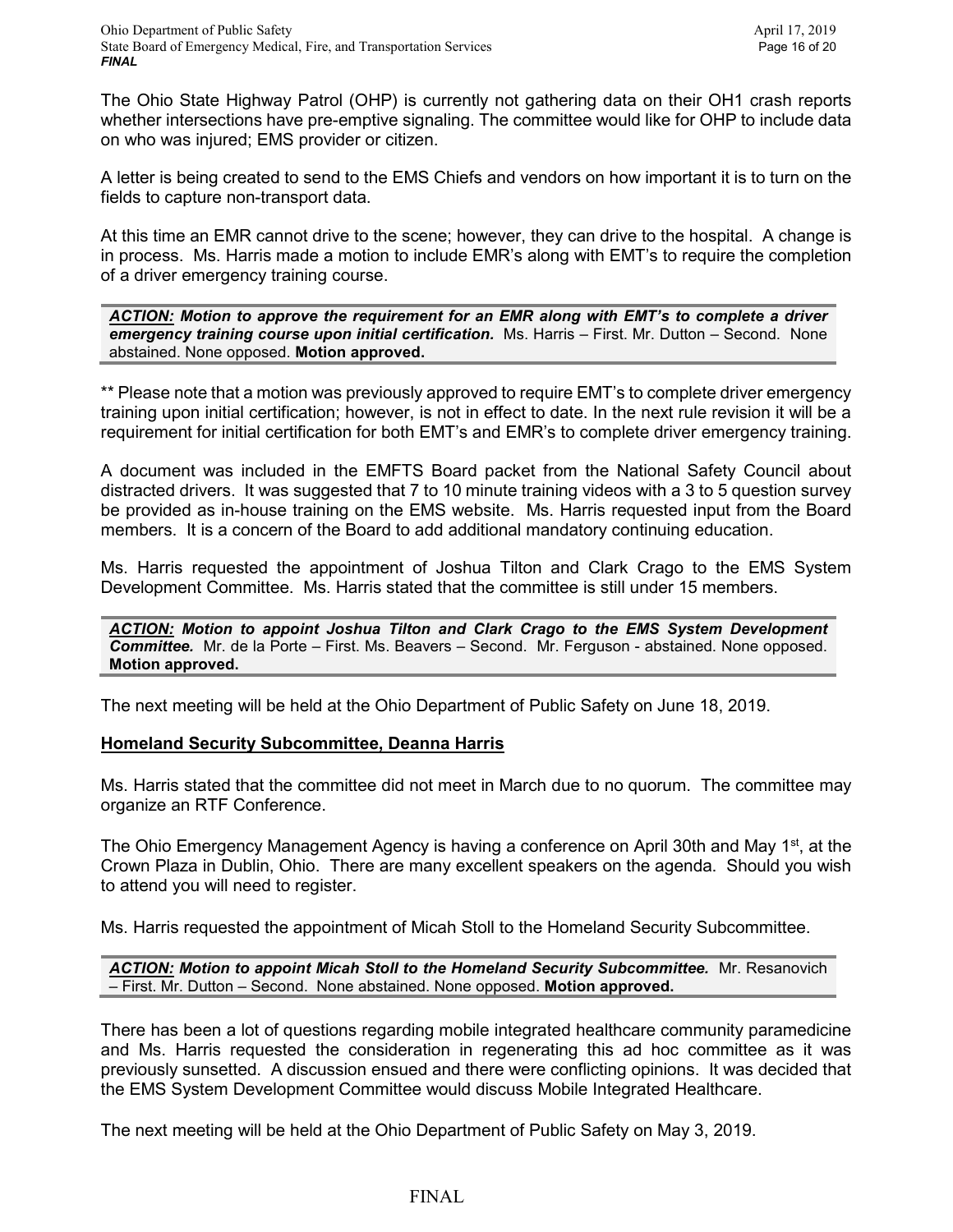The Ohio State Highway Patrol (OHP) is currently not gathering data on their OH1 crash reports whether intersections have pre-emptive signaling. The committee would like for OHP to include data on who was injured; EMS provider or citizen.

A letter is being created to send to the EMS Chiefs and vendors on how important it is to turn on the fields to capture non-transport data.

At this time an EMR cannot drive to the scene; however, they can drive to the hospital. A change is in process. Ms. Harris made a motion to include EMR's along with EMT's to require the completion of a driver emergency training course.

*ACTION: Motion to approve the requirement for an EMR along with EMT's to complete a driver emergency training course upon initial certification.* Ms. Harris – First. Mr. Dutton – Second. None abstained. None opposed. **Motion approved.**

\*\* Please note that a motion was previously approved to require EMT's to complete driver emergency training upon initial certification; however, is not in effect to date. In the next rule revision it will be a requirement for initial certification for both EMT's and EMR's to complete driver emergency training.

A document was included in the EMFTS Board packet from the National Safety Council about distracted drivers. It was suggested that 7 to 10 minute training videos with a 3 to 5 question survey be provided as in-house training on the EMS website. Ms. Harris requested input from the Board members. It is a concern of the Board to add additional mandatory continuing education.

Ms. Harris requested the appointment of Joshua Tilton and Clark Crago to the EMS System Development Committee. Ms. Harris stated that the committee is still under 15 members.

*ACTION: Motion to appoint Joshua Tilton and Clark Crago to the EMS System Development Committee.* Mr. de la Porte – First. Ms. Beavers – Second. Mr. Ferguson - abstained. None opposed. **Motion approved.**

The next meeting will be held at the Ohio Department of Public Safety on June 18, 2019.

#### **Homeland Security Subcommittee, Deanna Harris**

Ms. Harris stated that the committee did not meet in March due to no quorum. The committee may organize an RTF Conference.

The Ohio Emergency Management Agency is having a conference on April 30th and May 1<sup>st</sup>, at the Crown Plaza in Dublin, Ohio. There are many excellent speakers on the agenda. Should you wish to attend you will need to register.

Ms. Harris requested the appointment of Micah Stoll to the Homeland Security Subcommittee.

*ACTION: Motion to appoint Micah Stoll to the Homeland Security Subcommittee.* Mr. Resanovich – First. Mr. Dutton – Second. None abstained. None opposed. **Motion approved.**

There has been a lot of questions regarding mobile integrated healthcare community paramedicine and Ms. Harris requested the consideration in regenerating this ad hoc committee as it was previously sunsetted. A discussion ensued and there were conflicting opinions. It was decided that the EMS System Development Committee would discuss Mobile Integrated Healthcare.

The next meeting will be held at the Ohio Department of Public Safety on May 3, 2019.

## FINAL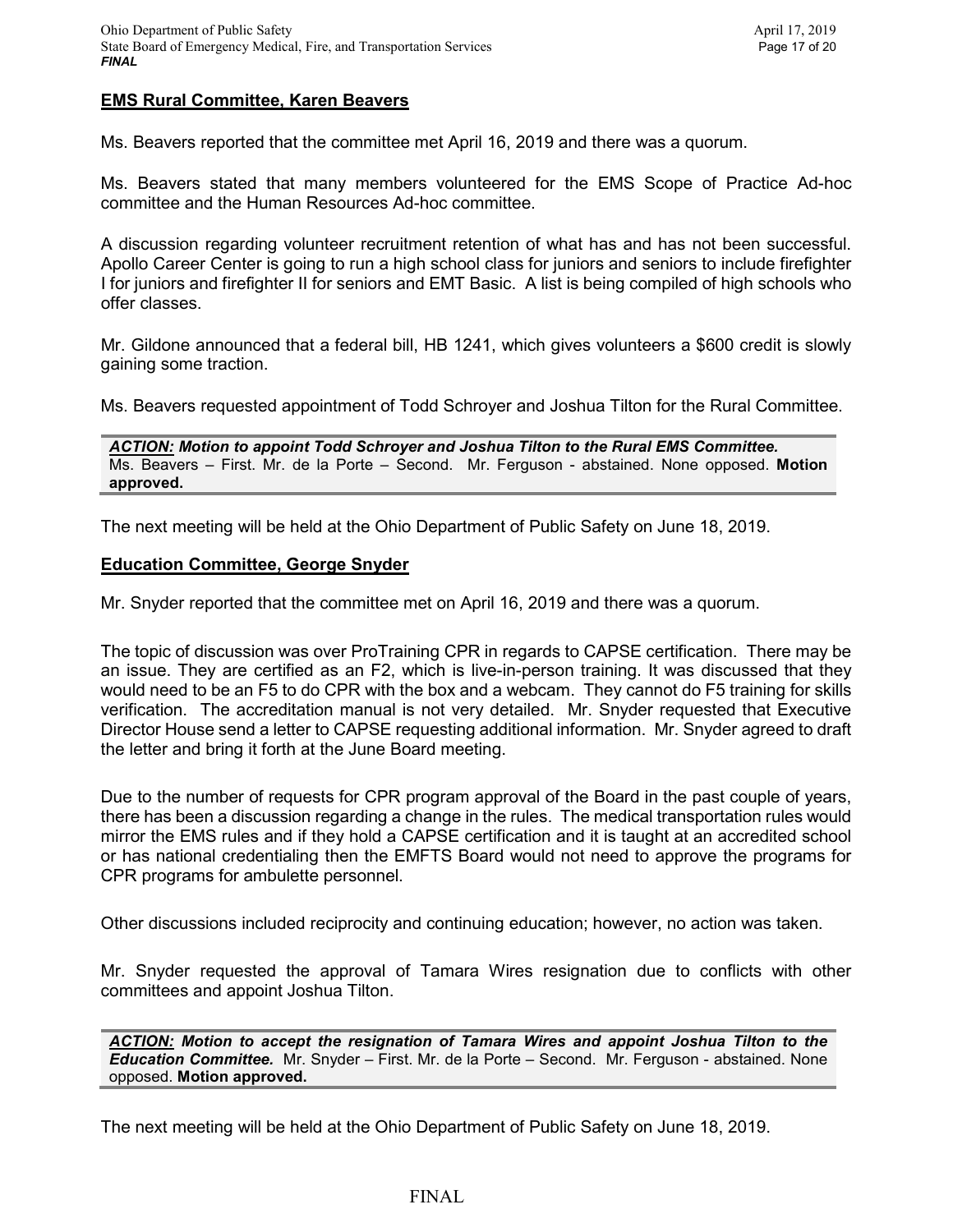### **EMS Rural Committee, Karen Beavers**

Ms. Beavers reported that the committee met April 16, 2019 and there was a quorum.

Ms. Beavers stated that many members volunteered for the EMS Scope of Practice Ad-hoc committee and the Human Resources Ad-hoc committee.

A discussion regarding volunteer recruitment retention of what has and has not been successful. Apollo Career Center is going to run a high school class for juniors and seniors to include firefighter I for iuniors and firefighter II for seniors and EMT Basic. A list is being compiled of high schools who offer classes.

Mr. Gildone announced that a federal bill, HB 1241, which gives volunteers a \$600 credit is slowly gaining some traction.

Ms. Beavers requested appointment of Todd Schroyer and Joshua Tilton for the Rural Committee.

*ACTION: Motion to appoint Todd Schroyer and Joshua Tilton to the Rural EMS Committee.*  Ms. Beavers – First. Mr. de la Porte – Second. Mr. Ferguson - abstained. None opposed. **Motion approved.**

The next meeting will be held at the Ohio Department of Public Safety on June 18, 2019.

#### **Education Committee, George Snyder**

Mr. Snyder reported that the committee met on April 16, 2019 and there was a quorum.

The topic of discussion was over ProTraining CPR in regards to CAPSE certification. There may be an issue. They are certified as an F2, which is live-in-person training. It was discussed that they would need to be an F5 to do CPR with the box and a webcam. They cannot do F5 training for skills verification. The accreditation manual is not very detailed. Mr. Snyder requested that Executive Director House send a letter to CAPSE requesting additional information. Mr. Snyder agreed to draft the letter and bring it forth at the June Board meeting.

Due to the number of requests for CPR program approval of the Board in the past couple of years, there has been a discussion regarding a change in the rules. The medical transportation rules would mirror the EMS rules and if they hold a CAPSE certification and it is taught at an accredited school or has national credentialing then the EMFTS Board would not need to approve the programs for CPR programs for ambulette personnel.

Other discussions included reciprocity and continuing education; however, no action was taken.

Mr. Snyder requested the approval of Tamara Wires resignation due to conflicts with other committees and appoint Joshua Tilton.

*ACTION: Motion to accept the resignation of Tamara Wires and appoint Joshua Tilton to the Education Committee.* Mr. Snyder – First. Mr. de la Porte – Second. Mr. Ferguson - abstained. None opposed. **Motion approved.**

The next meeting will be held at the Ohio Department of Public Safety on June 18, 2019.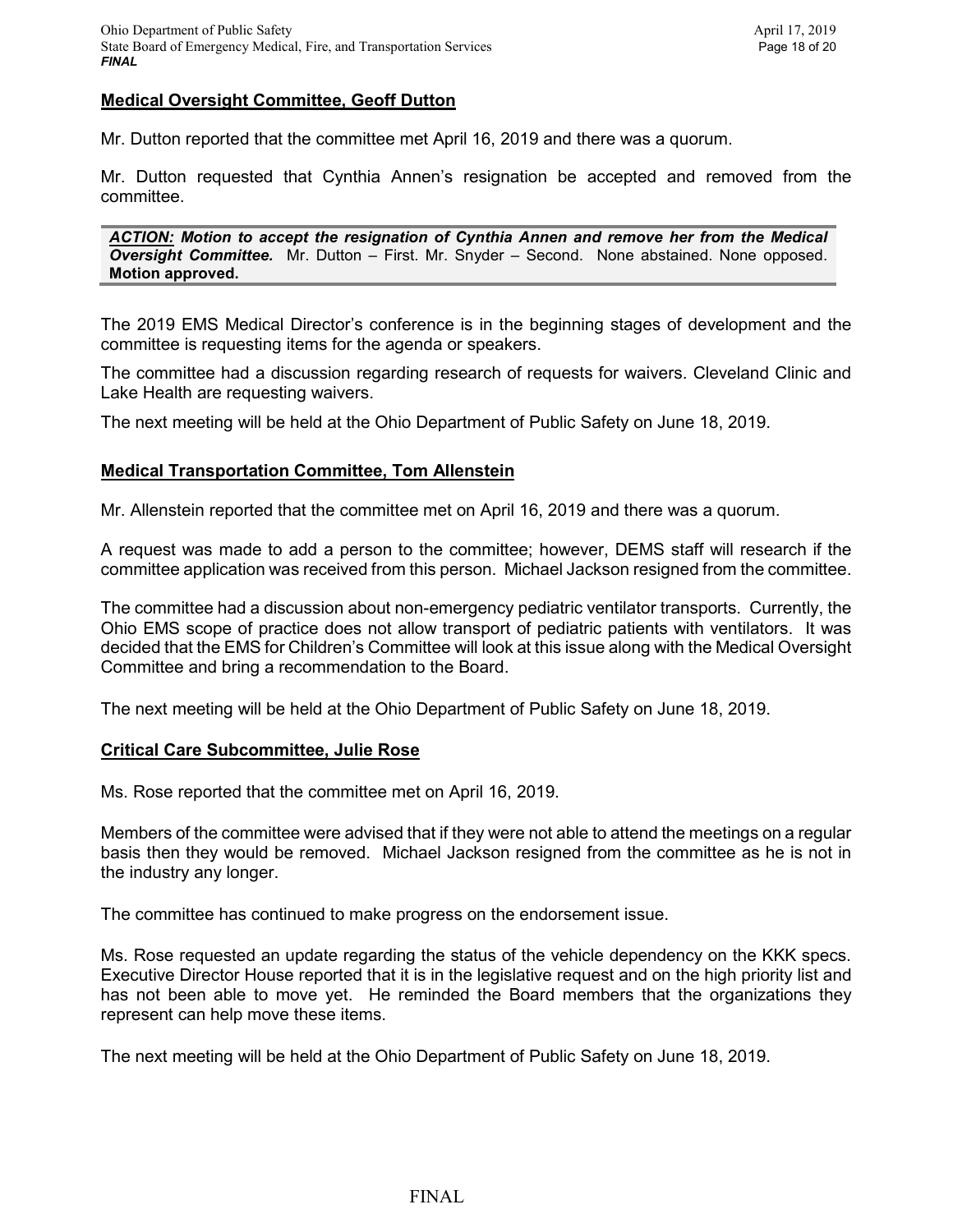### **Medical Oversight Committee, Geoff Dutton**

Mr. Dutton reported that the committee met April 16, 2019 and there was a quorum.

Mr. Dutton requested that Cynthia Annen's resignation be accepted and removed from the committee.

*ACTION: Motion to accept the resignation of Cynthia Annen and remove her from the Medical Oversight Committee.* Mr. Dutton – First. Mr. Snyder – Second. None abstained. None opposed. **Motion approved.**

The 2019 EMS Medical Director's conference is in the beginning stages of development and the committee is requesting items for the agenda or speakers.

The committee had a discussion regarding research of requests for waivers. Cleveland Clinic and Lake Health are requesting waivers.

The next meeting will be held at the Ohio Department of Public Safety on June 18, 2019.

#### **Medical Transportation Committee, Tom Allenstein**

Mr. Allenstein reported that the committee met on April 16, 2019 and there was a quorum.

A request was made to add a person to the committee; however, DEMS staff will research if the committee application was received from this person. Michael Jackson resigned from the committee.

The committee had a discussion about non-emergency pediatric ventilator transports. Currently, the Ohio EMS scope of practice does not allow transport of pediatric patients with ventilators. It was decided that the EMS for Children's Committee will look at this issue along with the Medical Oversight Committee and bring a recommendation to the Board.

The next meeting will be held at the Ohio Department of Public Safety on June 18, 2019.

#### **Critical Care Subcommittee, Julie Rose**

Ms. Rose reported that the committee met on April 16, 2019.

Members of the committee were advised that if they were not able to attend the meetings on a regular basis then they would be removed. Michael Jackson resigned from the committee as he is not in the industry any longer.

The committee has continued to make progress on the endorsement issue.

Ms. Rose requested an update regarding the status of the vehicle dependency on the KKK specs. Executive Director House reported that it is in the legislative request and on the high priority list and has not been able to move yet. He reminded the Board members that the organizations they represent can help move these items.

The next meeting will be held at the Ohio Department of Public Safety on June 18, 2019.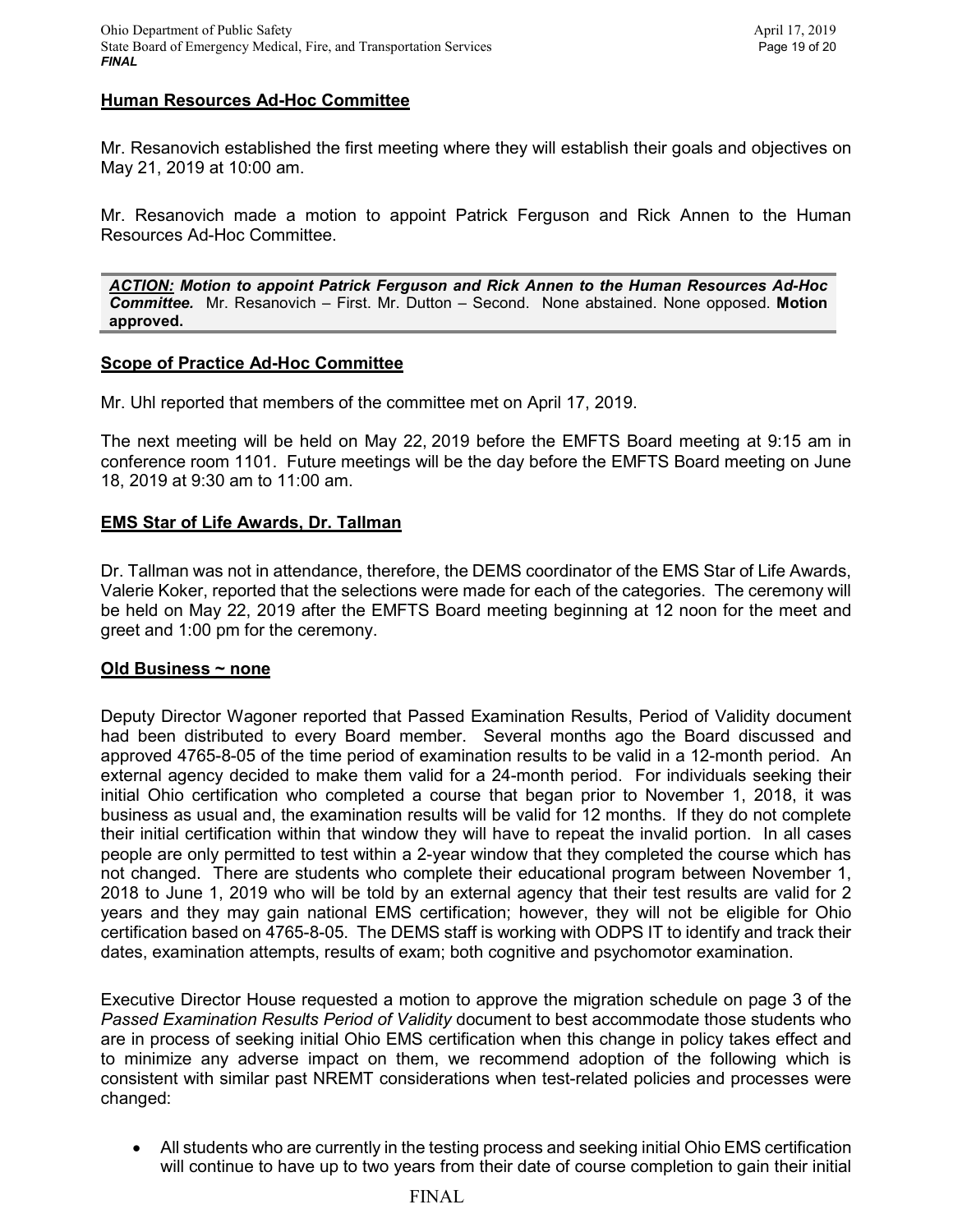### **Human Resources Ad-Hoc Committee**

Mr. Resanovich established the first meeting where they will establish their goals and objectives on May 21, 2019 at 10:00 am.

Mr. Resanovich made a motion to appoint Patrick Ferguson and Rick Annen to the Human Resources Ad-Hoc Committee.

*ACTION: Motion to appoint Patrick Ferguson and Rick Annen to the Human Resources Ad-Hoc Committee.* Mr. Resanovich – First. Mr. Dutton – Second. None abstained. None opposed. **Motion approved.**

#### **Scope of Practice Ad-Hoc Committee**

Mr. Uhl reported that members of the committee met on April 17, 2019.

The next meeting will be held on May 22, 2019 before the EMFTS Board meeting at 9:15 am in conference room 1101. Future meetings will be the day before the EMFTS Board meeting on June 18, 2019 at 9:30 am to 11:00 am.

### **EMS Star of Life Awards, Dr. Tallman**

Dr. Tallman was not in attendance, therefore, the DEMS coordinator of the EMS Star of Life Awards, Valerie Koker, reported that the selections were made for each of the categories. The ceremony will be held on May 22, 2019 after the EMFTS Board meeting beginning at 12 noon for the meet and greet and 1:00 pm for the ceremony.

#### **Old Business ~ none**

Deputy Director Wagoner reported that Passed Examination Results, Period of Validity document had been distributed to every Board member. Several months ago the Board discussed and approved 4765-8-05 of the time period of examination results to be valid in a 12-month period. An external agency decided to make them valid for a 24-month period. For individuals seeking their initial Ohio certification who completed a course that began prior to November 1, 2018, it was business as usual and, the examination results will be valid for 12 months. If they do not complete their initial certification within that window they will have to repeat the invalid portion. In all cases people are only permitted to test within a 2-year window that they completed the course which has not changed. There are students who complete their educational program between November 1, 2018 to June 1, 2019 who will be told by an external agency that their test results are valid for 2 years and they may gain national EMS certification; however, they will not be eligible for Ohio certification based on 4765-8-05. The DEMS staff is working with ODPS IT to identify and track their dates, examination attempts, results of exam; both cognitive and psychomotor examination.

Executive Director House requested a motion to approve the migration schedule on page 3 of the *Passed Examination Results Period of Validity* document to best accommodate those students who are in process of seeking initial Ohio EMS certification when this change in policy takes effect and to minimize any adverse impact on them, we recommend adoption of the following which is consistent with similar past NREMT considerations when test-related policies and processes were changed:

• All students who are currently in the testing process and seeking initial Ohio EMS certification will continue to have up to two years from their date of course completion to gain their initial